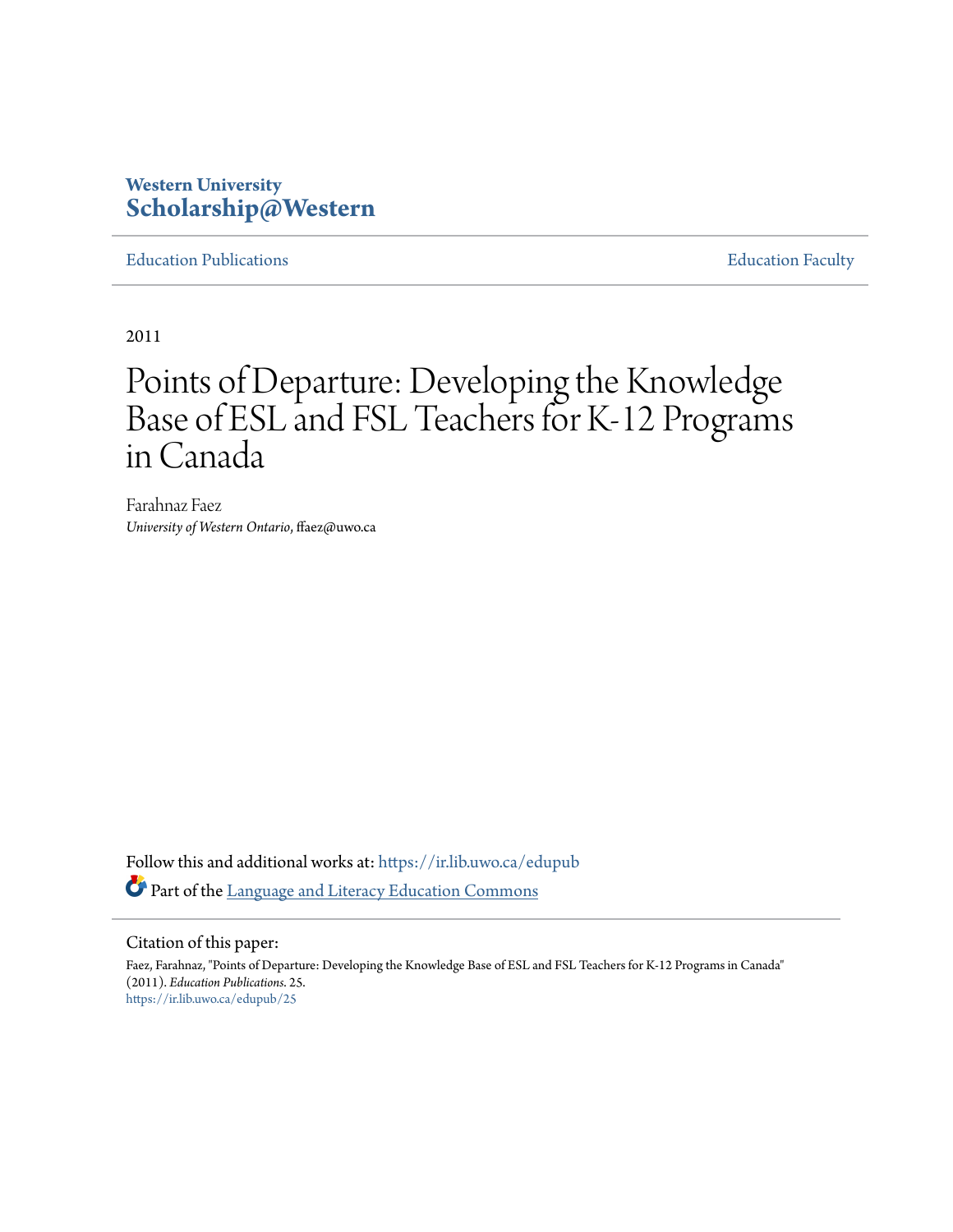# **Western University [Scholarship@Western](https://ir.lib.uwo.ca?utm_source=ir.lib.uwo.ca%2Fedupub%2F25&utm_medium=PDF&utm_campaign=PDFCoverPages)**

[Education Publications](https://ir.lib.uwo.ca/edupub?utm_source=ir.lib.uwo.ca%2Fedupub%2F25&utm_medium=PDF&utm_campaign=PDFCoverPages) **[Education Faculty](https://ir.lib.uwo.ca/edu?utm_source=ir.lib.uwo.ca%2Fedupub%2F25&utm_medium=PDF&utm_campaign=PDFCoverPages)** 

2011

# Points of Departure: Developing the Knowledge Base of ESL and FSL Teachers for K-12 Programs in Canada

Farahnaz Faez *University of Western Ontario*, ffaez@uwo.ca

Follow this and additional works at: [https://ir.lib.uwo.ca/edupub](https://ir.lib.uwo.ca/edupub?utm_source=ir.lib.uwo.ca%2Fedupub%2F25&utm_medium=PDF&utm_campaign=PDFCoverPages) Part of the [Language and Literacy Education Commons](http://network.bepress.com/hgg/discipline/1380?utm_source=ir.lib.uwo.ca%2Fedupub%2F25&utm_medium=PDF&utm_campaign=PDFCoverPages)

Citation of this paper:

Faez, Farahnaz, "Points of Departure: Developing the Knowledge Base of ESL and FSL Teachers for K-12 Programs in Canada" (2011). *Education Publications*. 25. [https://ir.lib.uwo.ca/edupub/25](https://ir.lib.uwo.ca/edupub/25?utm_source=ir.lib.uwo.ca%2Fedupub%2F25&utm_medium=PDF&utm_campaign=PDFCoverPages)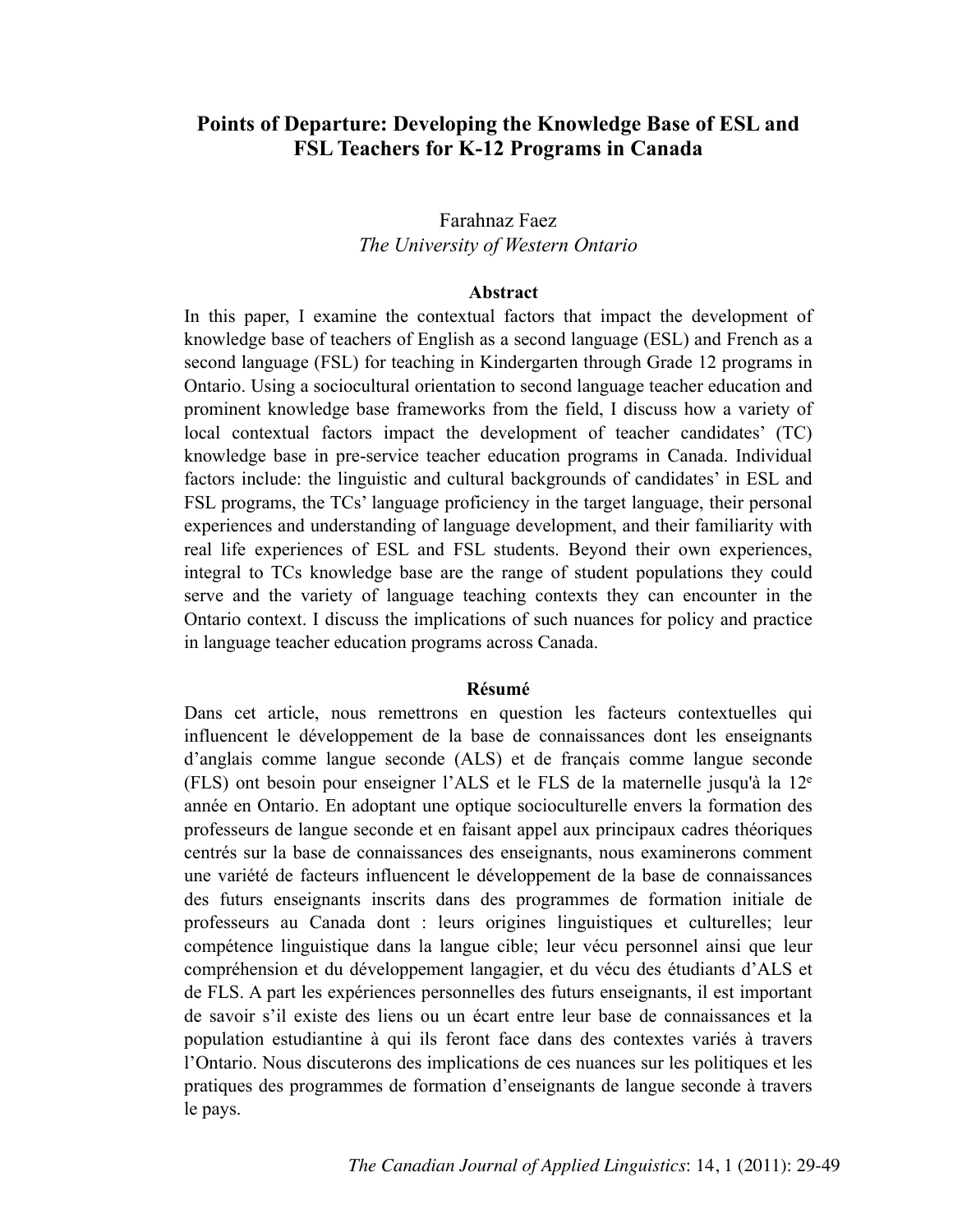# **Points of Departure: Developing the Knowledge Base of ESL and FSL Teachers for K-12 Programs in Canada**

# Farahnaz Faez *The University of Western Ontario*

#### **Abstract**

In this paper, I examine the contextual factors that impact the development of knowledge base of teachers of English as a second language (ESL) and French as a second language (FSL) for teaching in Kindergarten through Grade 12 programs in Ontario. Using a sociocultural orientation to second language teacher education and prominent knowledge base frameworks from the field, I discuss how a variety of local contextual factors impact the development of teacher candidates' (TC) knowledge base in pre-service teacher education programs in Canada. Individual factors include: the linguistic and cultural backgrounds of candidates' in ESL and FSL programs, the TCs' language proficiency in the target language, their personal experiences and understanding of language development, and their familiarity with real life experiences of ESL and FSL students. Beyond their own experiences, integral to TCs knowledge base are the range of student populations they could serve and the variety of language teaching contexts they can encounter in the Ontario context. I discuss the implications of such nuances for policy and practice in language teacher education programs across Canada.

#### **Résumé**

Dans cet article, nous remettrons en question les facteurs contextuelles qui influencent le développement de la base de connaissances dont les enseignants d'anglais comme langue seconde (ALS) et de français comme langue seconde (FLS) ont besoin pour enseigner l'ALS et le FLS de la maternelle jusqu'à la 12e année en Ontario. En adoptant une optique socioculturelle envers la formation des professeurs de langue seconde et en faisant appel aux principaux cadres théoriques centrés sur la base de connaissances des enseignants, nous examinerons comment une variété de facteurs influencent le développement de la base de connaissances des futurs enseignants inscrits dans des programmes de formation initiale de professeurs au Canada dont : leurs origines linguistiques et culturelles; leur compétence linguistique dans la langue cible; leur vécu personnel ainsi que leur compréhension et du développement langagier, et du vécu des étudiants d'ALS et de FLS. A part les expériences personnelles des futurs enseignants, il est important de savoir s'il existe des liens ou un écart entre leur base de connaissances et la population estudiantine à qui ils feront face dans des contextes variés à travers l'Ontario. Nous discuterons des implications de ces nuances sur les politiques et les pratiques des programmes de formation d'enseignants de langue seconde à travers le pays.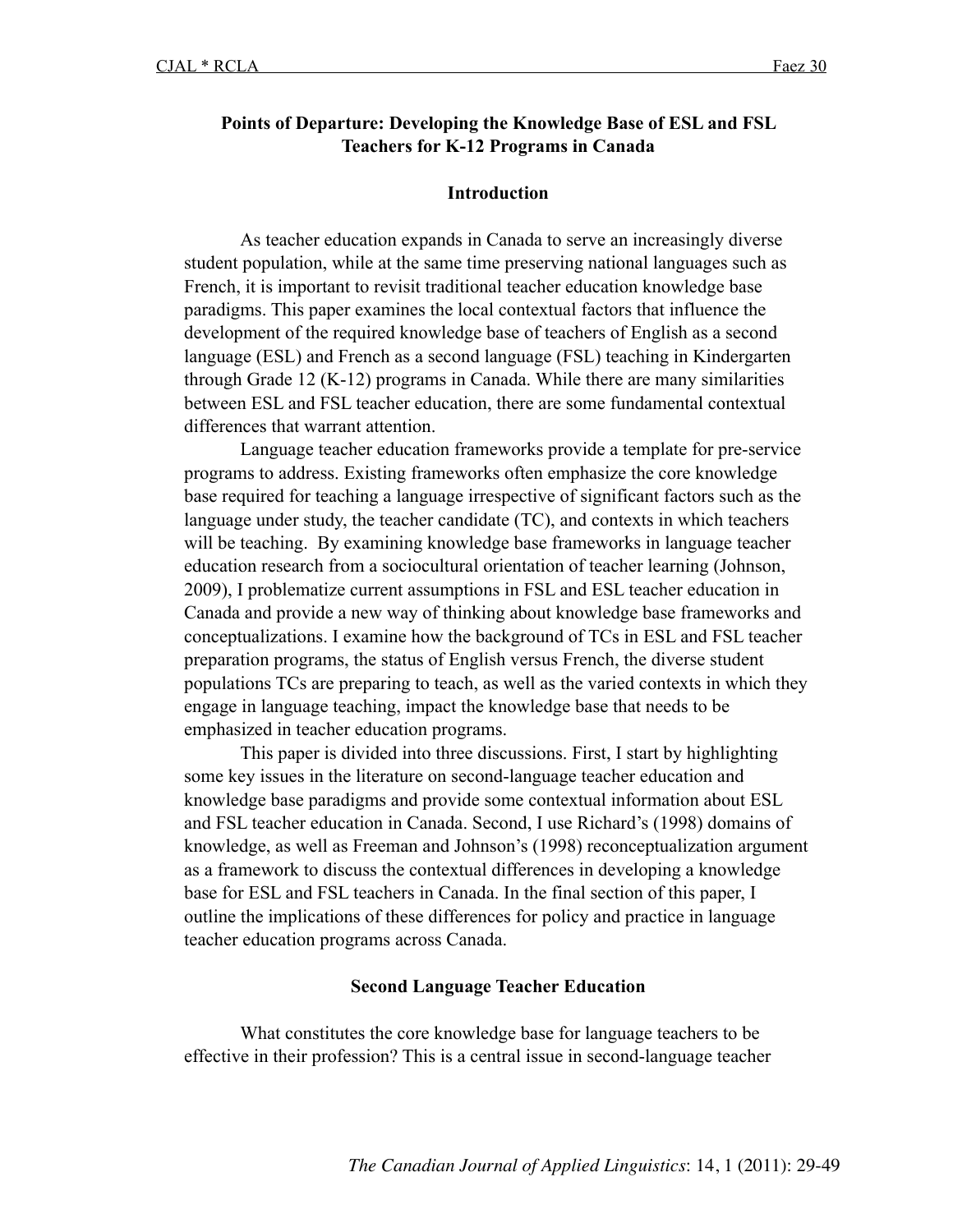## **Points of Departure: Developing the Knowledge Base of ESL and FSL Teachers for K-12 Programs in Canada**

## **Introduction**

As teacher education expands in Canada to serve an increasingly diverse student population, while at the same time preserving national languages such as French, it is important to revisit traditional teacher education knowledge base paradigms. This paper examines the local contextual factors that influence the development of the required knowledge base of teachers of English as a second language (ESL) and French as a second language (FSL) teaching in Kindergarten through Grade 12 (K-12) programs in Canada. While there are many similarities between ESL and FSL teacher education, there are some fundamental contextual differences that warrant attention.

Language teacher education frameworks provide a template for pre-service programs to address. Existing frameworks often emphasize the core knowledge base required for teaching a language irrespective of significant factors such as the language under study, the teacher candidate (TC), and contexts in which teachers will be teaching. By examining knowledge base frameworks in language teacher education research from a sociocultural orientation of teacher learning (Johnson, 2009), I problematize current assumptions in FSL and ESL teacher education in Canada and provide a new way of thinking about knowledge base frameworks and conceptualizations. I examine how the background of TCs in ESL and FSL teacher preparation programs, the status of English versus French, the diverse student populations TCs are preparing to teach, as well as the varied contexts in which they engage in language teaching, impact the knowledge base that needs to be emphasized in teacher education programs.

This paper is divided into three discussions. First, I start by highlighting some key issues in the literature on second-language teacher education and knowledge base paradigms and provide some contextual information about ESL and FSL teacher education in Canada. Second, I use Richard's (1998) domains of knowledge, as well as Freeman and Johnson's (1998) reconceptualization argument as a framework to discuss the contextual differences in developing a knowledge base for ESL and FSL teachers in Canada. In the final section of this paper, I outline the implications of these differences for policy and practice in language teacher education programs across Canada.

## **Second Language Teacher Education**

What constitutes the core knowledge base for language teachers to be effective in their profession? This is a central issue in second-language teacher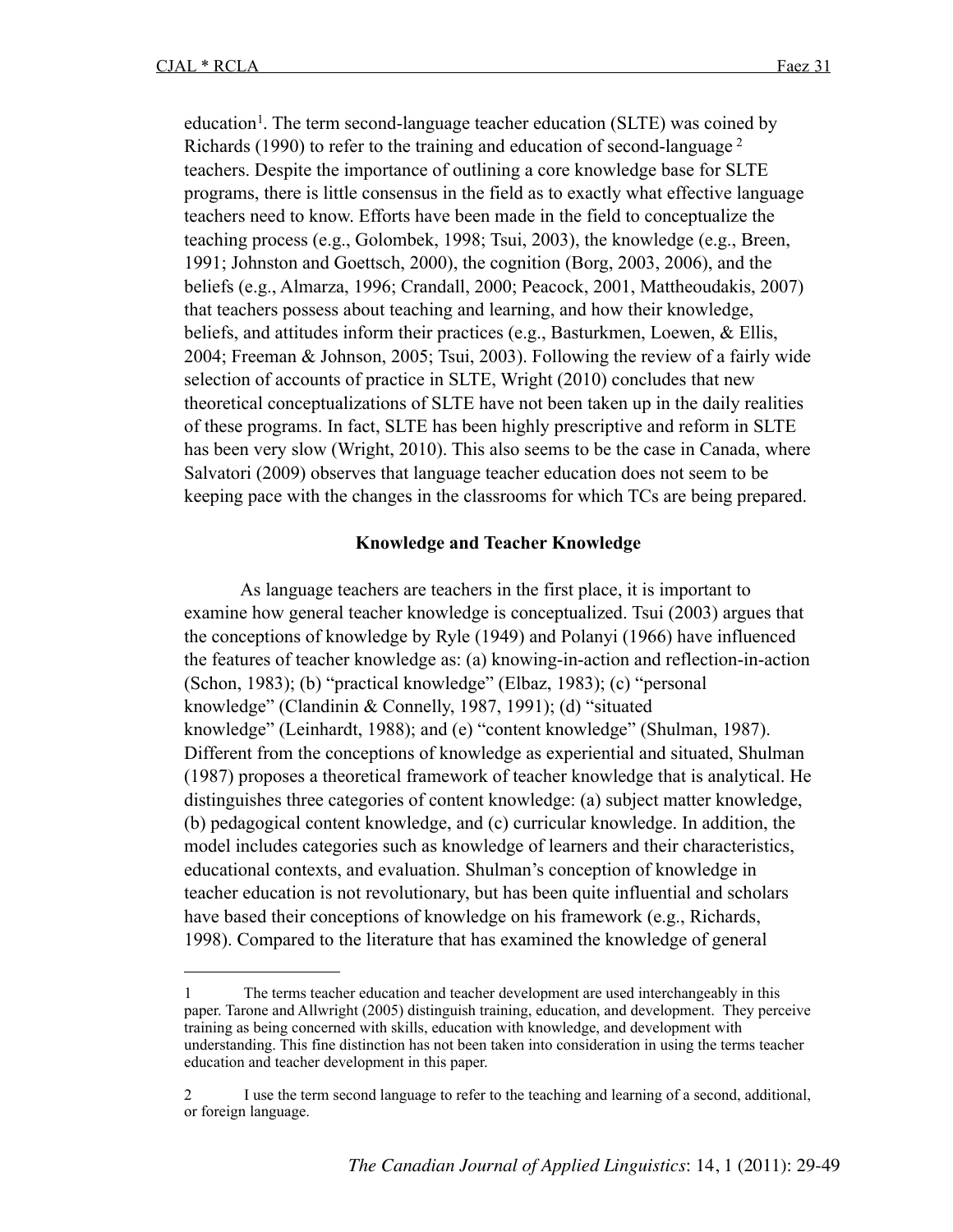education<sup>1</sup>. The term second-language teacher education (SLTE) was coined by Richards (1990) to refer to the training and education of second-language <sup>[2](#page-3-1)</sup> teachers. Despite the importance of outlining a core knowledge base for SLTE programs, there is little consensus in the field as to exactly what effective language teachers need to know. Efforts have been made in the field to conceptualize the teaching process (e.g., Golombek, 1998; Tsui, 2003), the knowledge (e.g., Breen, 1991; Johnston and Goettsch, 2000), the cognition (Borg, 2003, 2006), and the beliefs (e.g., Almarza, 1996; Crandall, 2000; Peacock, 2001, Mattheoudakis, 2007) that teachers possess about teaching and learning, and how their knowledge, beliefs, and attitudes inform their practices (e.g., Basturkmen, Loewen, & Ellis, 2004; Freeman & Johnson, 2005; Tsui, 2003). Following the review of a fairly wide selection of accounts of practice in SLTE, Wright (2010) concludes that new theoretical conceptualizations of SLTE have not been taken up in the daily realities of these programs. In fact, SLTE has been highly prescriptive and reform in SLTE has been very slow (Wright, 2010). This also seems to be the case in Canada, where Salvatori (2009) observes that language teacher education does not seem to be keeping pace with the changes in the classrooms for which TCs are being prepared.

## **Knowledge and Teacher Knowledge**

As language teachers are teachers in the first place, it is important to examine how general teacher knowledge is conceptualized. Tsui (2003) argues that the conceptions of knowledge by Ryle (1949) and Polanyi (1966) have influenced the features of teacher knowledge as: (a) knowing-in-action and reflection-in-action (Schon, 1983); (b) "practical knowledge" (Elbaz, 1983); (c) "personal knowledge" (Clandinin & Connelly, 1987, 1991); (d) "situated knowledge" (Leinhardt, 1988); and (e) "content knowledge" (Shulman, 1987). Different from the conceptions of knowledge as experiential and situated, Shulman (1987) proposes a theoretical framework of teacher knowledge that is analytical. He distinguishes three categories of content knowledge: (a) subject matter knowledge, (b) pedagogical content knowledge, and (c) curricular knowledge. In addition, the model includes categories such as knowledge of learners and their characteristics, educational contexts, and evaluation. Shulman's conception of knowledge in teacher education is not revolutionary, but has been quite influential and scholars have based their conceptions of knowledge on his framework (e.g., Richards, 1998). Compared to the literature that has examined the knowledge of general

<span id="page-3-0"></span><sup>1</sup> The terms teacher education and teacher development are used interchangeably in this paper. Tarone and Allwright (2005) distinguish training, education, and development. They perceive training as being concerned with skills, education with knowledge, and development with understanding. This fine distinction has not been taken into consideration in using the terms teacher education and teacher development in this paper.

<span id="page-3-1"></span><sup>2</sup> I use the term second language to refer to the teaching and learning of a second, additional, or foreign language.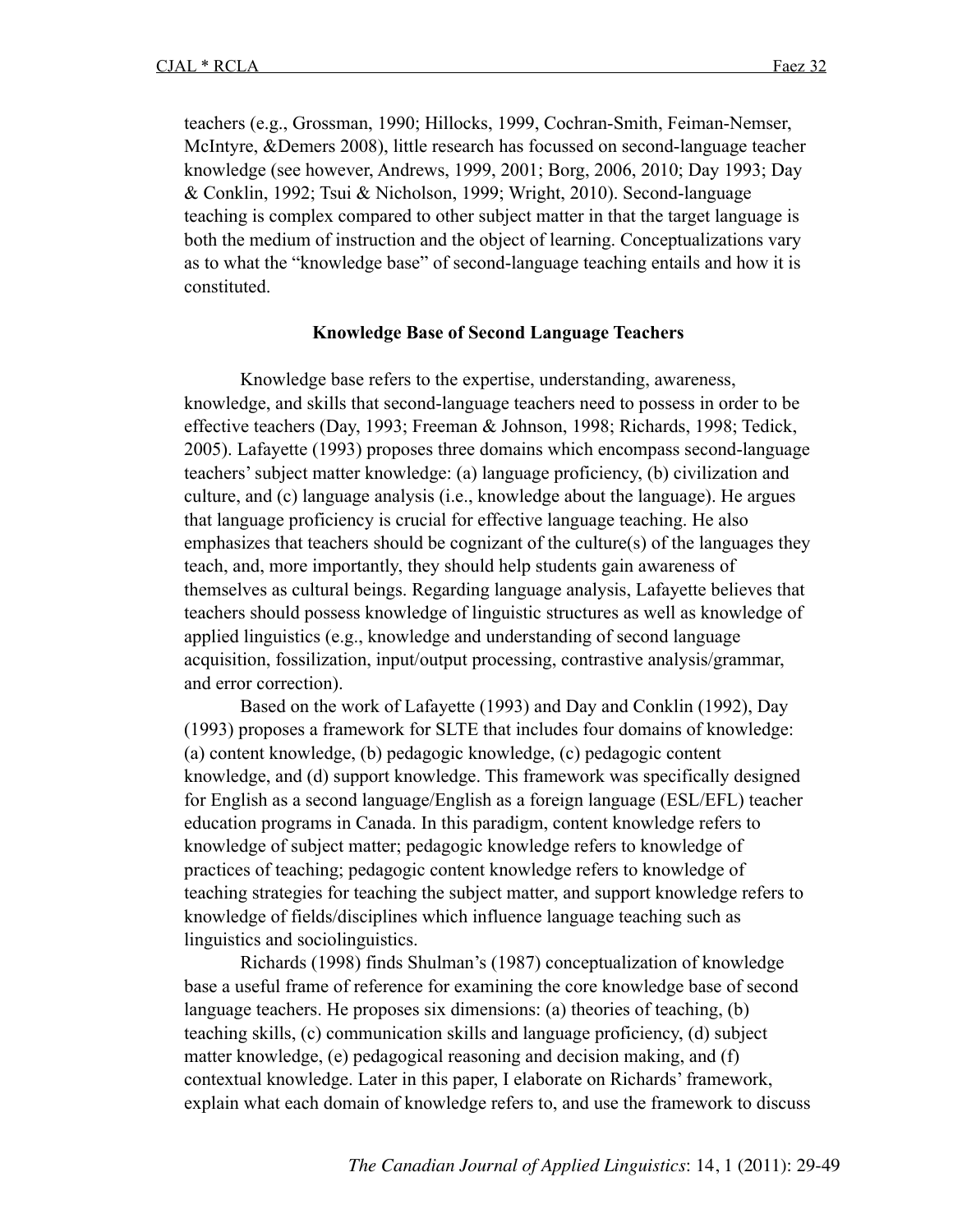teachers (e.g., Grossman, 1990; Hillocks, 1999, Cochran-Smith, Feiman-Nemser, McIntyre, &Demers 2008), little research has focussed on second-language teacher knowledge (see however, Andrews, 1999, 2001; Borg, 2006, 2010; Day 1993; Day & Conklin, 1992; Tsui & Nicholson, 1999; Wright, 2010). Second-language teaching is complex compared to other subject matter in that the target language is both the medium of instruction and the object of learning. Conceptualizations vary as to what the "knowledge base" of second-language teaching entails and how it is constituted.

#### **Knowledge Base of Second Language Teachers**

Knowledge base refers to the expertise, understanding, awareness, knowledge, and skills that second-language teachers need to possess in order to be effective teachers (Day, 1993; Freeman & Johnson, 1998; Richards, 1998; Tedick, 2005). Lafayette (1993) proposes three domains which encompass second-language teachers' subject matter knowledge: (a) language proficiency, (b) civilization and culture, and (c) language analysis (i.e., knowledge about the language). He argues that language proficiency is crucial for effective language teaching. He also emphasizes that teachers should be cognizant of the culture(s) of the languages they teach, and, more importantly, they should help students gain awareness of themselves as cultural beings. Regarding language analysis, Lafayette believes that teachers should possess knowledge of linguistic structures as well as knowledge of applied linguistics (e.g., knowledge and understanding of second language acquisition, fossilization, input/output processing, contrastive analysis/grammar, and error correction).

Based on the work of Lafayette (1993) and Day and Conklin (1992), Day (1993) proposes a framework for SLTE that includes four domains of knowledge: (a) content knowledge, (b) pedagogic knowledge, (c) pedagogic content knowledge, and (d) support knowledge. This framework was specifically designed for English as a second language/English as a foreign language (ESL/EFL) teacher education programs in Canada. In this paradigm, content knowledge refers to knowledge of subject matter; pedagogic knowledge refers to knowledge of practices of teaching; pedagogic content knowledge refers to knowledge of teaching strategies for teaching the subject matter, and support knowledge refers to knowledge of fields/disciplines which influence language teaching such as linguistics and sociolinguistics.

Richards (1998) finds Shulman's (1987) conceptualization of knowledge base a useful frame of reference for examining the core knowledge base of second language teachers. He proposes six dimensions: (a) theories of teaching, (b) teaching skills, (c) communication skills and language proficiency, (d) subject matter knowledge, (e) pedagogical reasoning and decision making, and (f) contextual knowledge. Later in this paper, I elaborate on Richards' framework, explain what each domain of knowledge refers to, and use the framework to discuss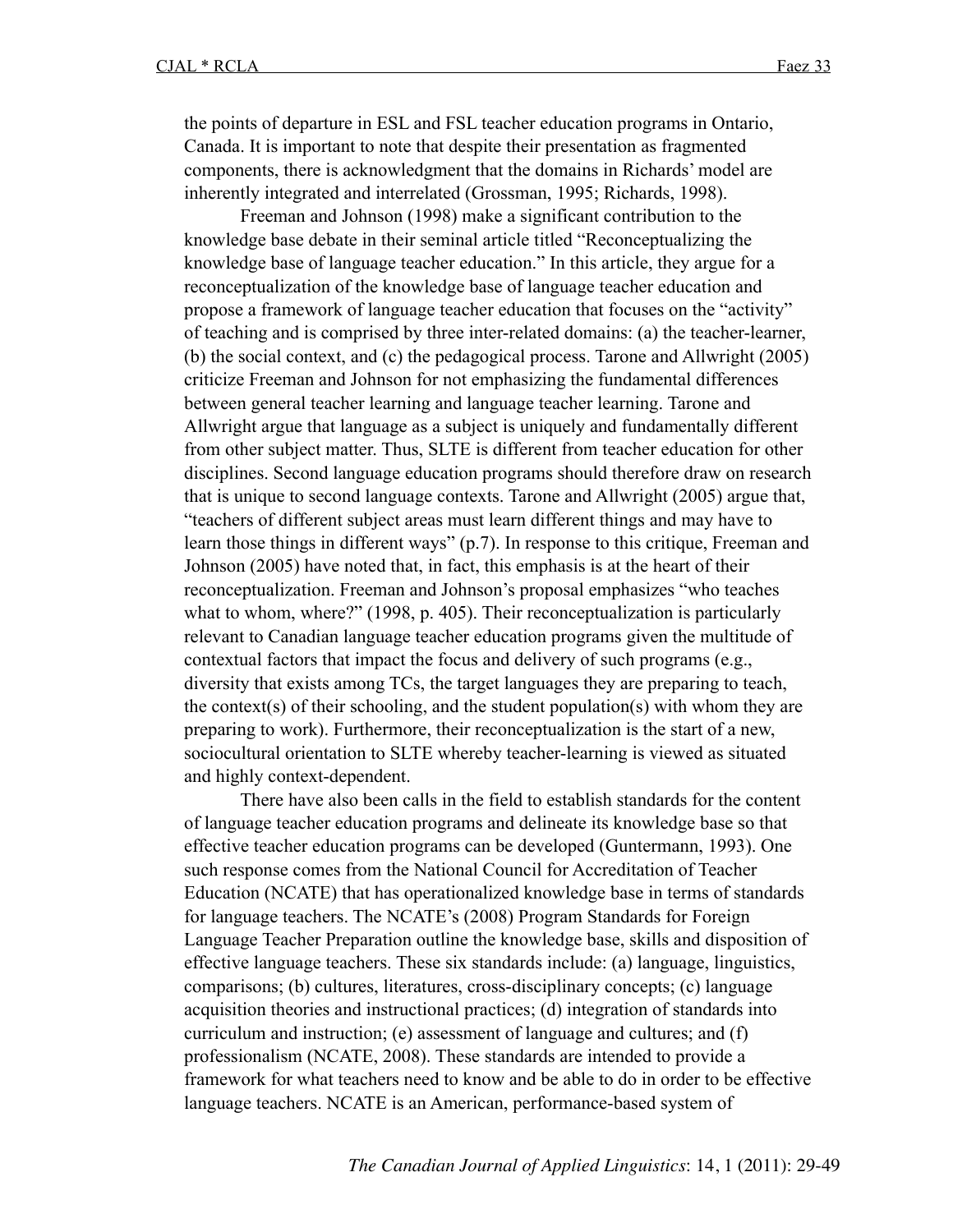the points of departure in ESL and FSL teacher education programs in Ontario, Canada. It is important to note that despite their presentation as fragmented components, there is acknowledgment that the domains in Richards' model are inherently integrated and interrelated (Grossman, 1995; Richards, 1998).

Freeman and Johnson (1998) make a significant contribution to the knowledge base debate in their seminal article titled "Reconceptualizing the knowledge base of language teacher education." In this article, they argue for a reconceptualization of the knowledge base of language teacher education and propose a framework of language teacher education that focuses on the "activity" of teaching and is comprised by three inter-related domains: (a) the teacher-learner, (b) the social context, and (c) the pedagogical process. Tarone and Allwright (2005) criticize Freeman and Johnson for not emphasizing the fundamental differences between general teacher learning and language teacher learning. Tarone and Allwright argue that language as a subject is uniquely and fundamentally different from other subject matter. Thus, SLTE is different from teacher education for other disciplines. Second language education programs should therefore draw on research that is unique to second language contexts. Tarone and Allwright (2005) argue that, "teachers of different subject areas must learn different things and may have to learn those things in different ways" (p.7). In response to this critique, Freeman and Johnson (2005) have noted that, in fact, this emphasis is at the heart of their reconceptualization. Freeman and Johnson's proposal emphasizes "who teaches what to whom, where?" (1998, p. 405). Their reconceptualization is particularly relevant to Canadian language teacher education programs given the multitude of contextual factors that impact the focus and delivery of such programs (e.g., diversity that exists among TCs, the target languages they are preparing to teach, the context(s) of their schooling, and the student population(s) with whom they are preparing to work). Furthermore, their reconceptualization is the start of a new, sociocultural orientation to SLTE whereby teacher-learning is viewed as situated and highly context-dependent.

There have also been calls in the field to establish standards for the content of language teacher education programs and delineate its knowledge base so that effective teacher education programs can be developed (Guntermann, 1993). One such response comes from the National Council for Accreditation of Teacher Education (NCATE) that has operationalized knowledge base in terms of standards for language teachers. The NCATE's (2008) Program Standards for Foreign Language Teacher Preparation outline the knowledge base, skills and disposition of effective language teachers. These six standards include: (a) language, linguistics, comparisons; (b) cultures, literatures, cross-disciplinary concepts; (c) language acquisition theories and instructional practices; (d) integration of standards into curriculum and instruction; (e) assessment of language and cultures; and (f) professionalism (NCATE, 2008). These standards are intended to provide a framework for what teachers need to know and be able to do in order to be effective language teachers. NCATE is an American, performance-based system of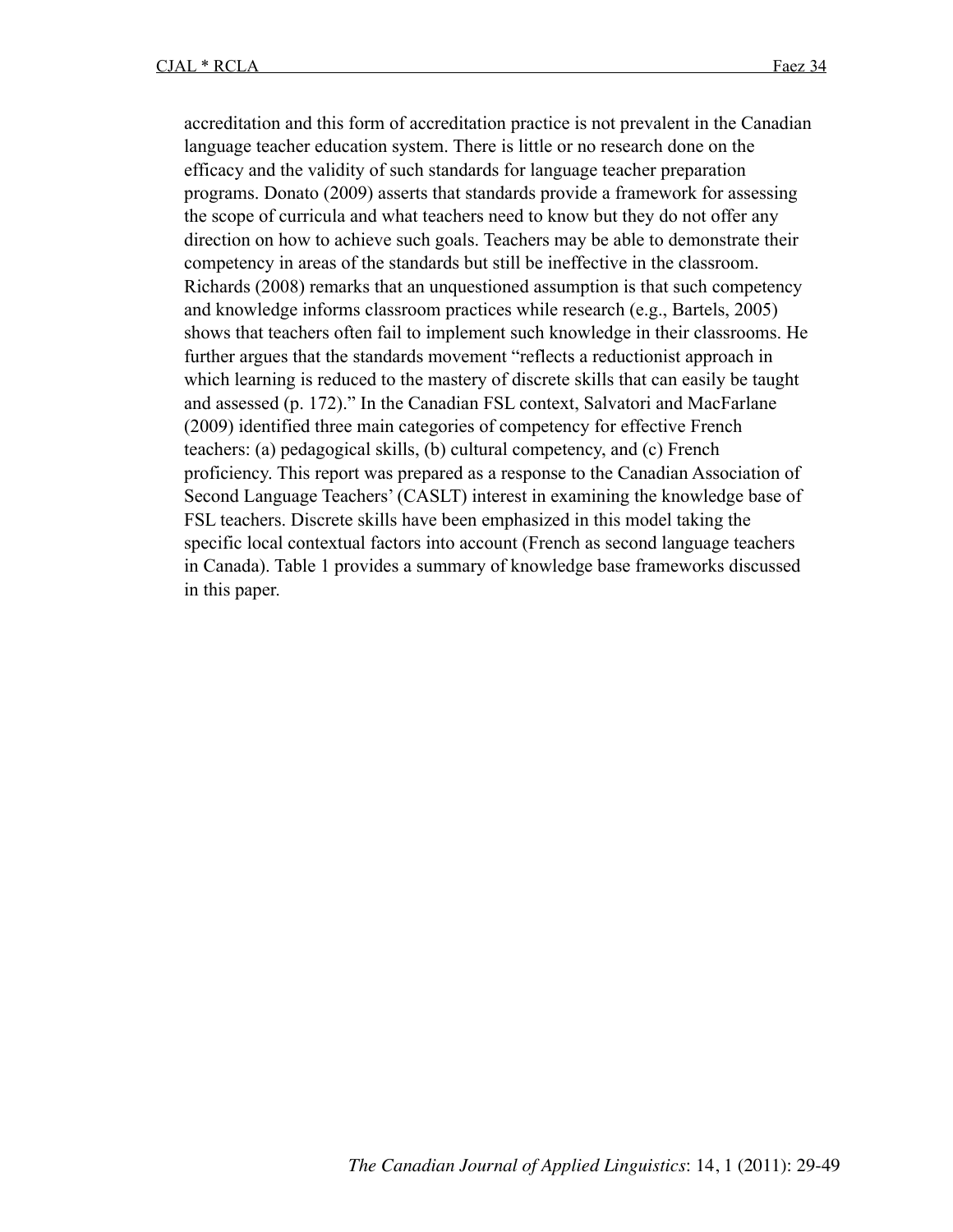accreditation and this form of accreditation practice is not prevalent in the Canadian language teacher education system. There is little or no research done on the efficacy and the validity of such standards for language teacher preparation programs. Donato (2009) asserts that standards provide a framework for assessing the scope of curricula and what teachers need to know but they do not offer any direction on how to achieve such goals. Teachers may be able to demonstrate their competency in areas of the standards but still be ineffective in the classroom. Richards (2008) remarks that an unquestioned assumption is that such competency and knowledge informs classroom practices while research (e.g., Bartels, 2005) shows that teachers often fail to implement such knowledge in their classrooms. He further argues that the standards movement "reflects a reductionist approach in which learning is reduced to the mastery of discrete skills that can easily be taught and assessed (p. 172)." In the Canadian FSL context, Salvatori and MacFarlane (2009) identified three main categories of competency for effective French teachers: (a) pedagogical skills, (b) cultural competency, and (c) French proficiency. This report was prepared as a response to the Canadian Association of Second Language Teachers' (CASLT) interest in examining the knowledge base of FSL teachers. Discrete skills have been emphasized in this model taking the specific local contextual factors into account (French as second language teachers in Canada). Table 1 provides a summary of knowledge base frameworks discussed in this paper.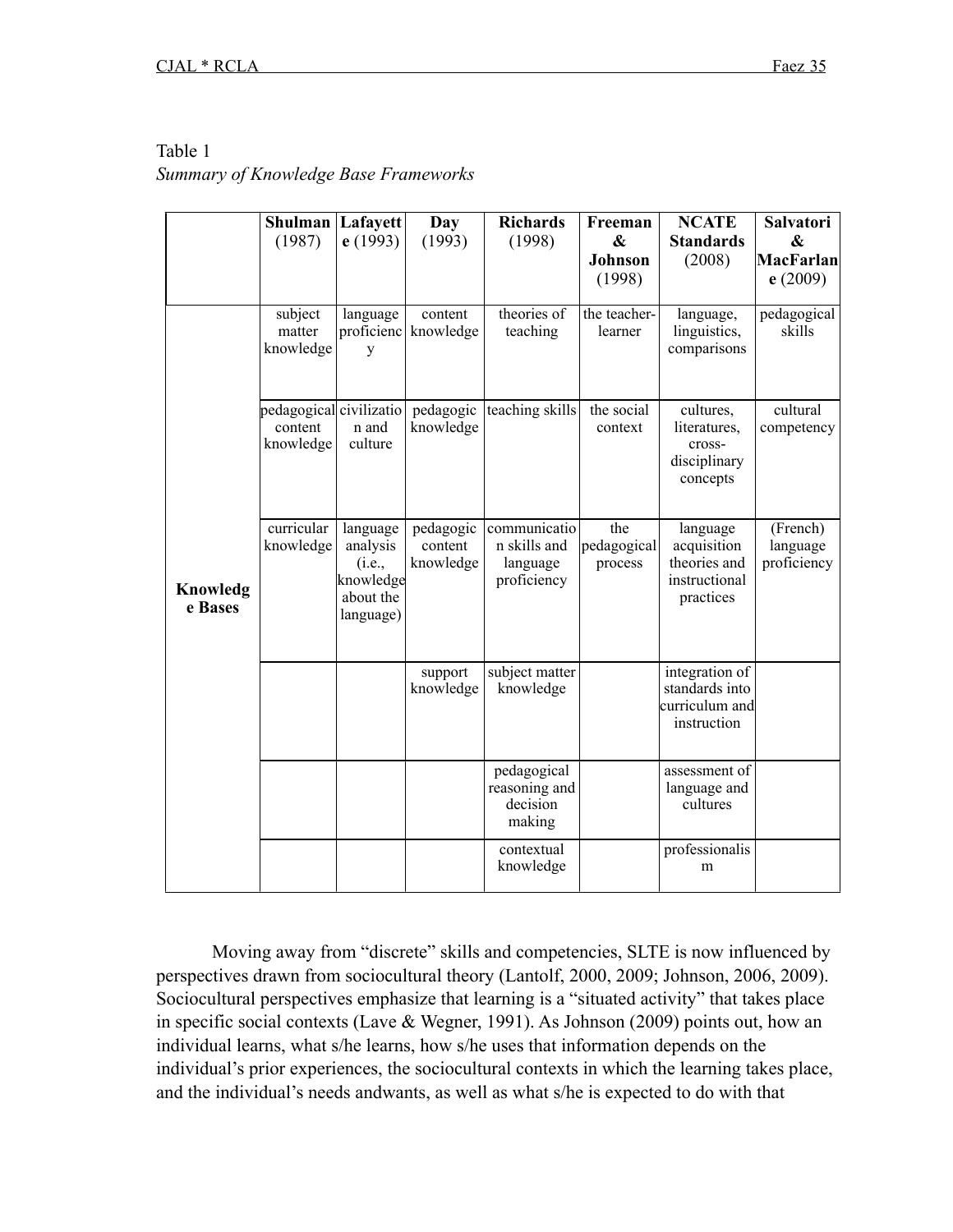## Table 1

## *Summary of Knowledge Base Frameworks*

|                     | Shulman Lafayett                                |                                                                       | Day                               | <b>Richards</b>                                         | Freeman                       | <b>NCATE</b>                                                          | <b>Salvatori</b>                                 |
|---------------------|-------------------------------------------------|-----------------------------------------------------------------------|-----------------------------------|---------------------------------------------------------|-------------------------------|-----------------------------------------------------------------------|--------------------------------------------------|
|                     | (1987)                                          | e(1993)                                                               | (1993)                            | (1998)                                                  | &<br><b>Johnson</b><br>(1998) | <b>Standards</b><br>(2008)                                            | $\boldsymbol{\&}$<br><b>MacFarlan</b><br>e(2009) |
|                     | subject<br>matter<br>knowledge                  | language<br>proficienc<br>У                                           | content<br>knowledge              | theories of<br>teaching                                 | the teacher-<br>learner       | language,<br>linguistics,<br>comparisons                              | pedagogical<br>skills                            |
|                     | pedagogical civilizatio<br>content<br>knowledge | n and<br>culture                                                      | pedagogic<br>knowledge            | teaching skills                                         | the social<br>context         | cultures,<br>literatures,<br>cross-<br>disciplinary<br>concepts       | cultural<br>competency                           |
| Knowledg<br>e Bases | curricular<br>knowledge                         | language<br>analysis<br>(i.e.,<br>knowledge<br>about the<br>language) | pedagogic<br>content<br>knowledge | communicatio<br>n skills and<br>language<br>proficiency | the<br>pedagogical<br>process | language<br>acquisition<br>theories and<br>instructional<br>practices | (French)<br>language<br>proficiency              |
|                     |                                                 |                                                                       | support<br>knowledge              | subject matter<br>knowledge                             |                               | integration of<br>standards into<br>curriculum and<br>instruction     |                                                  |
|                     |                                                 |                                                                       |                                   | pedagogical<br>reasoning and<br>decision<br>making      |                               | assessment of<br>language and<br>cultures                             |                                                  |
|                     |                                                 |                                                                       |                                   | contextual<br>knowledge                                 |                               | professionalis<br>m                                                   |                                                  |

Moving away from "discrete" skills and competencies, SLTE is now influenced by perspectives drawn from sociocultural theory (Lantolf, 2000, 2009; Johnson, 2006, 2009). Sociocultural perspectives emphasize that learning is a "situated activity" that takes place in specific social contexts (Lave & Wegner, 1991). As Johnson (2009) points out, how an individual learns, what s/he learns, how s/he uses that information depends on the individual's prior experiences, the sociocultural contexts in which the learning takes place, and the individual's needs andwants, as well as what s/he is expected to do with that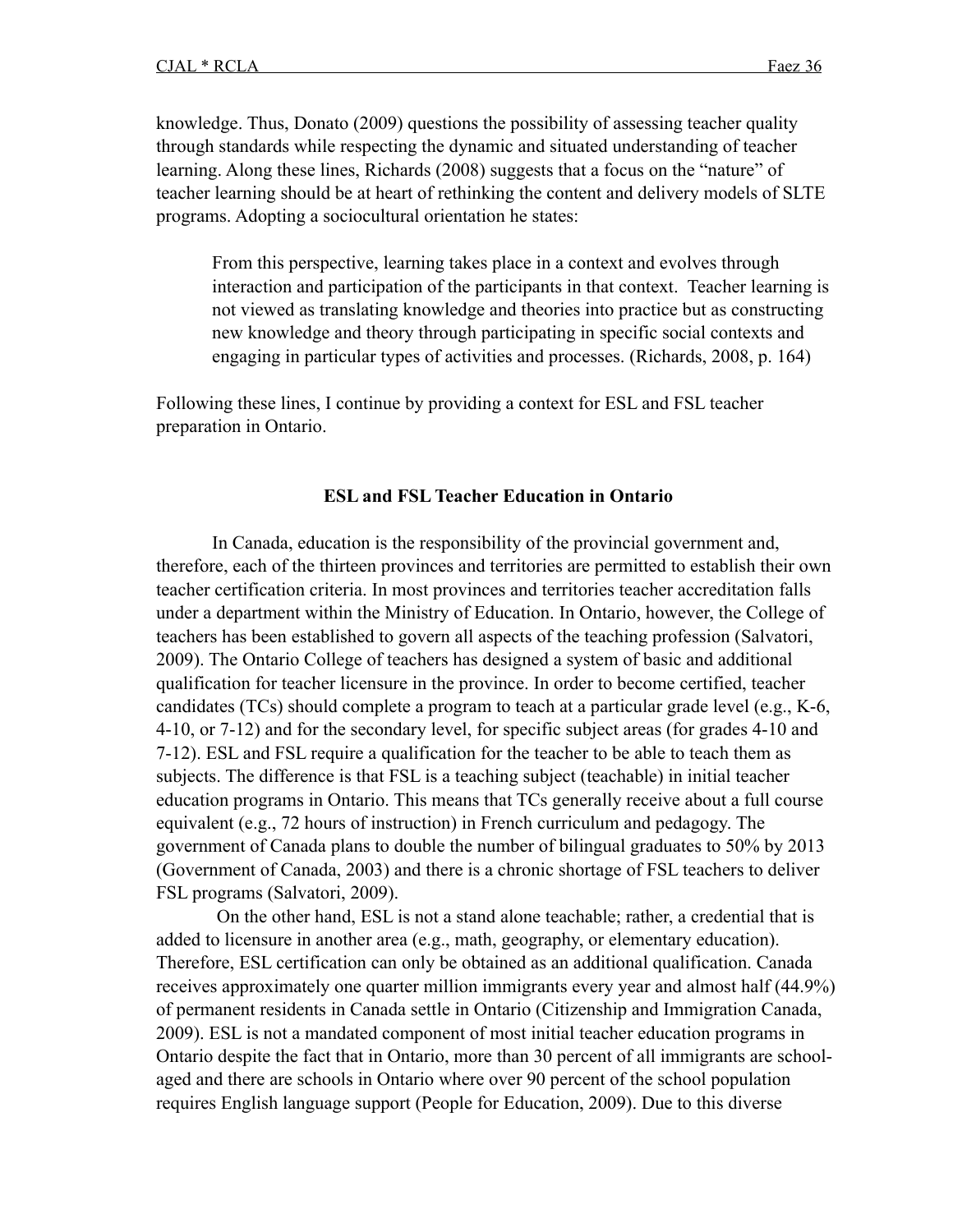knowledge. Thus, Donato (2009) questions the possibility of assessing teacher quality through standards while respecting the dynamic and situated understanding of teacher learning. Along these lines, Richards (2008) suggests that a focus on the "nature" of teacher learning should be at heart of rethinking the content and delivery models of SLTE programs. Adopting a sociocultural orientation he states:

From this perspective, learning takes place in a context and evolves through interaction and participation of the participants in that context. Teacher learning is not viewed as translating knowledge and theories into practice but as constructing new knowledge and theory through participating in specific social contexts and engaging in particular types of activities and processes. (Richards, 2008, p. 164)

Following these lines, I continue by providing a context for ESL and FSL teacher preparation in Ontario.

#### **ESL and FSL Teacher Education in Ontario**

In Canada, education is the responsibility of the provincial government and, therefore, each of the thirteen provinces and territories are permitted to establish their own teacher certification criteria. In most provinces and territories teacher accreditation falls under a department within the Ministry of Education. In Ontario, however, the College of teachers has been established to govern all aspects of the teaching profession (Salvatori, 2009). The Ontario College of teachers has designed a system of basic and additional qualification for teacher licensure in the province. In order to become certified, teacher candidates (TCs) should complete a program to teach at a particular grade level (e.g., K-6, 4-10, or 7-12) and for the secondary level, for specific subject areas (for grades 4-10 and 7-12). ESL and FSL require a qualification for the teacher to be able to teach them as subjects. The difference is that FSL is a teaching subject (teachable) in initial teacher education programs in Ontario. This means that TCs generally receive about a full course equivalent (e.g., 72 hours of instruction) in French curriculum and pedagogy. The government of Canada plans to double the number of bilingual graduates to 50% by 2013 (Government of Canada, 2003) and there is a chronic shortage of FSL teachers to deliver FSL programs (Salvatori, 2009).

 On the other hand, ESL is not a stand alone teachable; rather, a credential that is added to licensure in another area (e.g., math, geography, or elementary education). Therefore, ESL certification can only be obtained as an additional qualification. Canada receives approximately one quarter million immigrants every year and almost half (44.9%) of permanent residents in Canada settle in Ontario (Citizenship and Immigration Canada, 2009). ESL is not a mandated component of most initial teacher education programs in Ontario despite the fact that in Ontario, more than 30 percent of all immigrants are schoolaged and there are schools in Ontario where over 90 percent of the school population requires English language support (People for Education, 2009). Due to this diverse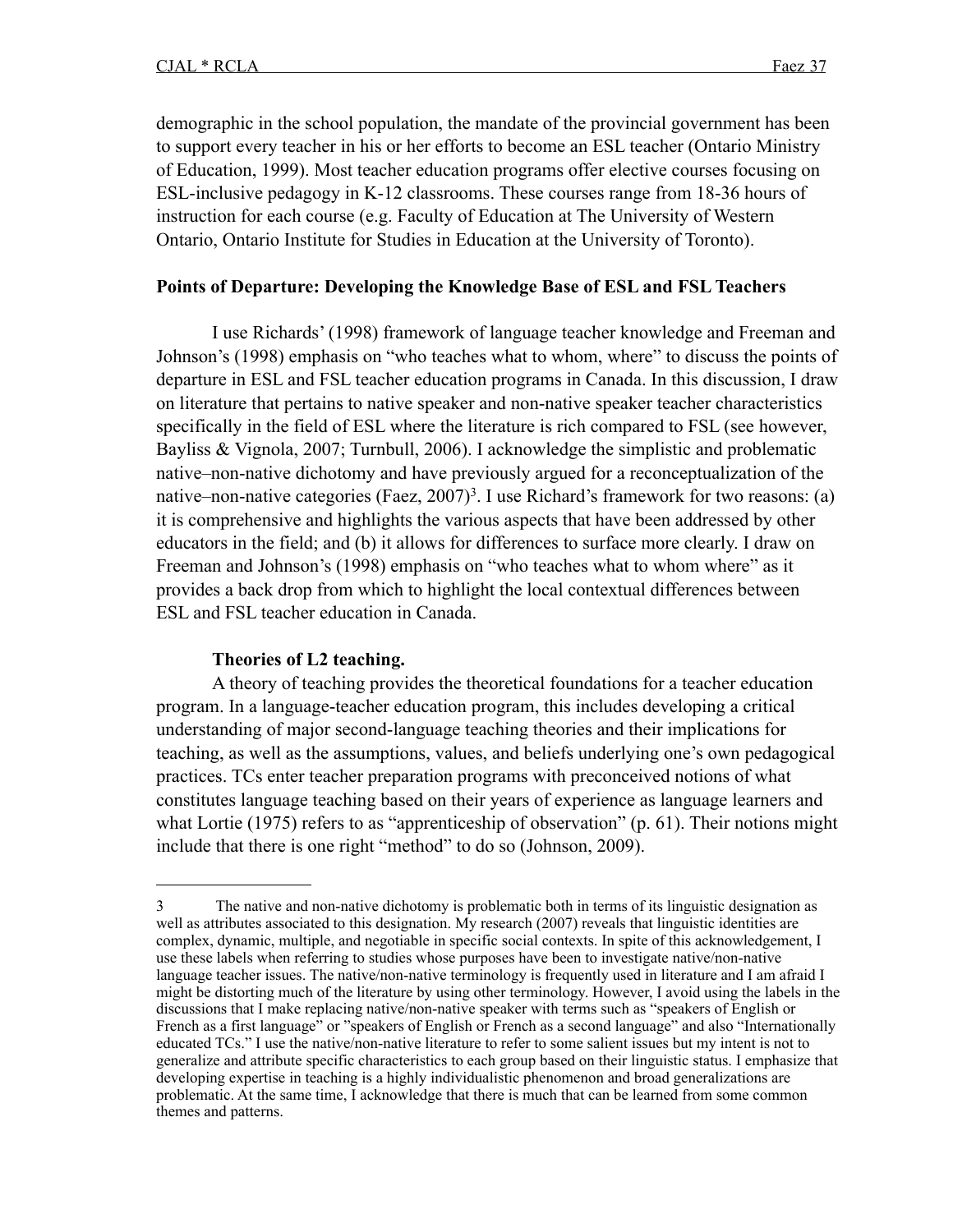demographic in the school population, the mandate of the provincial government has been to support every teacher in his or her efforts to become an ESL teacher (Ontario Ministry of Education, 1999). Most teacher education programs offer elective courses focusing on ESL-inclusive pedagogy in K-12 classrooms. These courses range from 18-36 hours of instruction for each course (e.g. Faculty of Education at The University of Western Ontario, Ontario Institute for Studies in Education at the University of Toronto).

### **Points of Departure: Developing the Knowledge Base of ESL and FSL Teachers**

I use Richards' (1998) framework of language teacher knowledge and Freeman and Johnson's (1998) emphasis on "who teaches what to whom, where" to discuss the points of departure in ESL and FSL teacher education programs in Canada. In this discussion, I draw on literature that pertains to native speaker and non-native speaker teacher characteristics specifically in the field of ESL where the literature is rich compared to FSL (see however, Bayliss & Vignola, 2007; Turnbull, 2006). I acknowledge the simplistic and problematic native–non-native dichotomy and have previously argued for a reconceptualization of the native–non-native categories (Faez, 2007)<sup>3</sup>. I use Richard's framework for two reasons: (a) it is comprehensive and highlights the various aspects that have been addressed by other educators in the field; and (b) it allows for differences to surface more clearly. I draw on Freeman and Johnson's (1998) emphasis on "who teaches what to whom where" as it provides a back drop from which to highlight the local contextual differences between ESL and FSL teacher education in Canada.

#### **Theories of L2 teaching.**

A theory of teaching provides the theoretical foundations for a teacher education program. In a language-teacher education program, this includes developing a critical understanding of major second-language teaching theories and their implications for teaching, as well as the assumptions, values, and beliefs underlying one's own pedagogical practices. TCs enter teacher preparation programs with preconceived notions of what constitutes language teaching based on their years of experience as language learners and what Lortie (1975) refers to as "apprenticeship of observation" (p. 61). Their notions might include that there is one right "method" to do so (Johnson, 2009).

<span id="page-9-0"></span><sup>3</sup> The native and non-native dichotomy is problematic both in terms of its linguistic designation as well as attributes associated to this designation. My research (2007) reveals that linguistic identities are complex, dynamic, multiple, and negotiable in specific social contexts. In spite of this acknowledgement, I use these labels when referring to studies whose purposes have been to investigate native/non-native language teacher issues. The native/non-native terminology is frequently used in literature and I am afraid I might be distorting much of the literature by using other terminology. However, I avoid using the labels in the discussions that I make replacing native/non-native speaker with terms such as "speakers of English or French as a first language" or "speakers of English or French as a second language" and also "Internationally educated TCs." I use the native/non-native literature to refer to some salient issues but my intent is not to generalize and attribute specific characteristics to each group based on their linguistic status. I emphasize that developing expertise in teaching is a highly individualistic phenomenon and broad generalizations are problematic. At the same time, I acknowledge that there is much that can be learned from some common themes and patterns.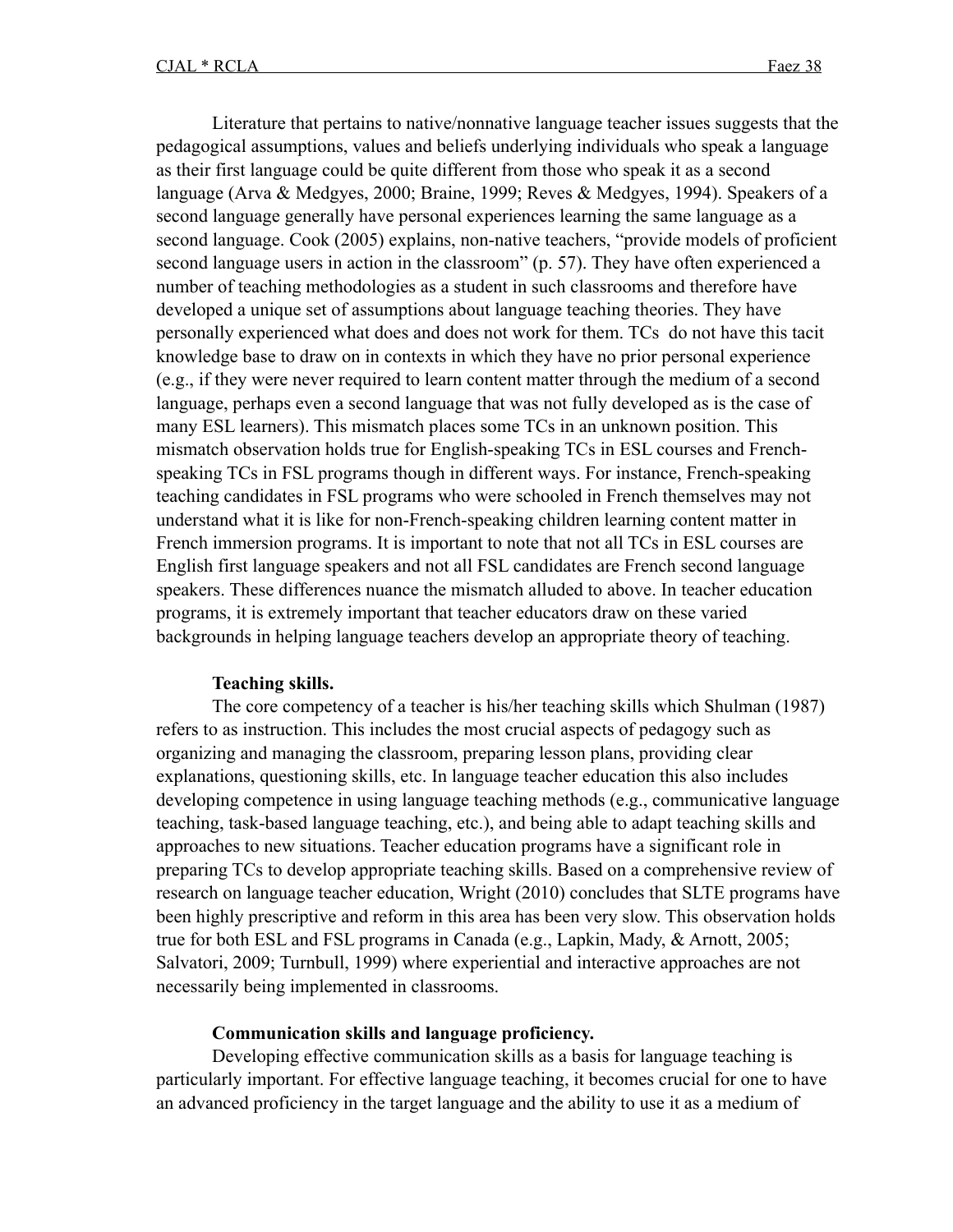Literature that pertains to native/nonnative language teacher issues suggests that the pedagogical assumptions, values and beliefs underlying individuals who speak a language as their first language could be quite different from those who speak it as a second language (Arva & Medgyes, 2000; Braine, 1999; Reves & Medgyes, 1994). Speakers of a second language generally have personal experiences learning the same language as a second language. Cook (2005) explains, non-native teachers, "provide models of proficient second language users in action in the classroom" (p. 57). They have often experienced a number of teaching methodologies as a student in such classrooms and therefore have developed a unique set of assumptions about language teaching theories. They have personally experienced what does and does not work for them. TCs do not have this tacit knowledge base to draw on in contexts in which they have no prior personal experience (e.g., if they were never required to learn content matter through the medium of a second language, perhaps even a second language that was not fully developed as is the case of many ESL learners). This mismatch places some TCs in an unknown position. This mismatch observation holds true for English-speaking TCs in ESL courses and Frenchspeaking TCs in FSL programs though in different ways. For instance, French-speaking teaching candidates in FSL programs who were schooled in French themselves may not understand what it is like for non-French-speaking children learning content matter in French immersion programs. It is important to note that not all TCs in ESL courses are English first language speakers and not all FSL candidates are French second language speakers. These differences nuance the mismatch alluded to above. In teacher education programs, it is extremely important that teacher educators draw on these varied backgrounds in helping language teachers develop an appropriate theory of teaching.

#### **Teaching skills.**

The core competency of a teacher is his/her teaching skills which Shulman (1987) refers to as instruction. This includes the most crucial aspects of pedagogy such as organizing and managing the classroom, preparing lesson plans, providing clear explanations, questioning skills, etc. In language teacher education this also includes developing competence in using language teaching methods (e.g., communicative language teaching, task-based language teaching, etc.), and being able to adapt teaching skills and approaches to new situations. Teacher education programs have a significant role in preparing TCs to develop appropriate teaching skills. Based on a comprehensive review of research on language teacher education, Wright (2010) concludes that SLTE programs have been highly prescriptive and reform in this area has been very slow. This observation holds true for both ESL and FSL programs in Canada (e.g., Lapkin, Mady, & Arnott, 2005; Salvatori, 2009; Turnbull, 1999) where experiential and interactive approaches are not necessarily being implemented in classrooms.

#### **Communication skills and language proficiency.**

Developing effective communication skills as a basis for language teaching is particularly important. For effective language teaching, it becomes crucial for one to have an advanced proficiency in the target language and the ability to use it as a medium of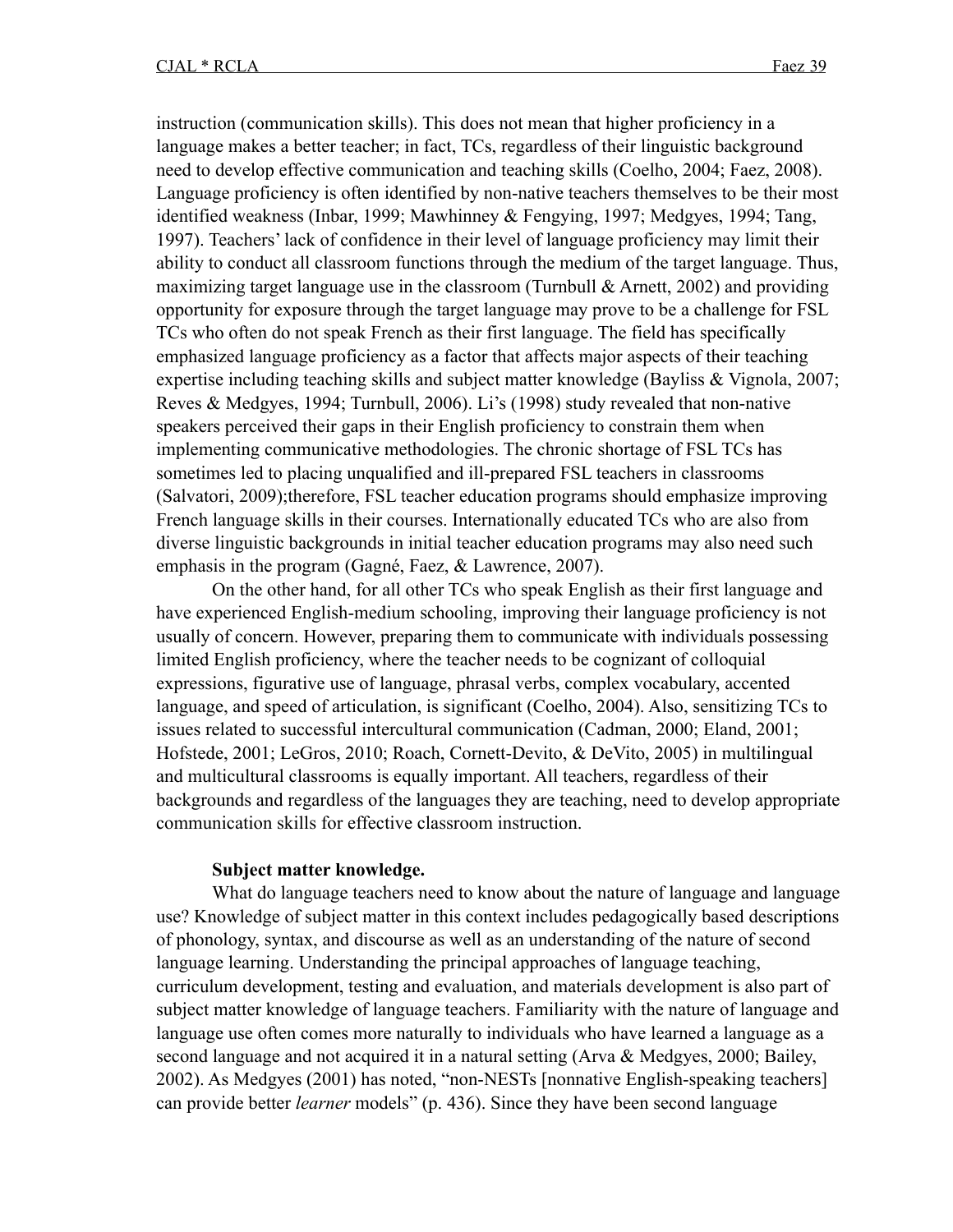instruction (communication skills). This does not mean that higher proficiency in a language makes a better teacher; in fact, TCs, regardless of their linguistic background need to develop effective communication and teaching skills (Coelho, 2004; Faez, 2008). Language proficiency is often identified by non-native teachers themselves to be their most identified weakness (Inbar, 1999; Mawhinney & Fengying, 1997; Medgyes, 1994; Tang, 1997). Teachers' lack of confidence in their level of language proficiency may limit their ability to conduct all classroom functions through the medium of the target language. Thus, maximizing target language use in the classroom (Turnbull  $\&$  Arnett, 2002) and providing opportunity for exposure through the target language may prove to be a challenge for FSL TCs who often do not speak French as their first language. The field has specifically emphasized language proficiency as a factor that affects major aspects of their teaching expertise including teaching skills and subject matter knowledge (Bayliss & Vignola, 2007; Reves & Medgyes, 1994; Turnbull, 2006). Li's (1998) study revealed that non-native speakers perceived their gaps in their English proficiency to constrain them when implementing communicative methodologies. The chronic shortage of FSL TCs has sometimes led to placing unqualified and ill-prepared FSL teachers in classrooms (Salvatori, 2009);therefore, FSL teacher education programs should emphasize improving French language skills in their courses. Internationally educated TCs who are also from diverse linguistic backgrounds in initial teacher education programs may also need such emphasis in the program (Gagné, Faez, & Lawrence, 2007).

On the other hand, for all other TCs who speak English as their first language and have experienced English-medium schooling, improving their language proficiency is not usually of concern. However, preparing them to communicate with individuals possessing limited English proficiency, where the teacher needs to be cognizant of colloquial expressions, figurative use of language, phrasal verbs, complex vocabulary, accented language, and speed of articulation, is significant (Coelho, 2004). Also, sensitizing TCs to issues related to successful intercultural communication (Cadman, 2000; Eland, 2001; Hofstede, 2001; LeGros, 2010; Roach, Cornett-Devito, & DeVito, 2005) in multilingual and multicultural classrooms is equally important. All teachers, regardless of their backgrounds and regardless of the languages they are teaching, need to develop appropriate communication skills for effective classroom instruction.

#### **Subject matter knowledge.**

What do language teachers need to know about the nature of language and language use? Knowledge of subject matter in this context includes pedagogically based descriptions of phonology, syntax, and discourse as well as an understanding of the nature of second language learning. Understanding the principal approaches of language teaching, curriculum development, testing and evaluation, and materials development is also part of subject matter knowledge of language teachers. Familiarity with the nature of language and language use often comes more naturally to individuals who have learned a language as a second language and not acquired it in a natural setting (Arva & Medgyes, 2000; Bailey, 2002). As Medgyes (2001) has noted, "non-NESTs [nonnative English-speaking teachers] can provide better *learner* models" (p. 436). Since they have been second language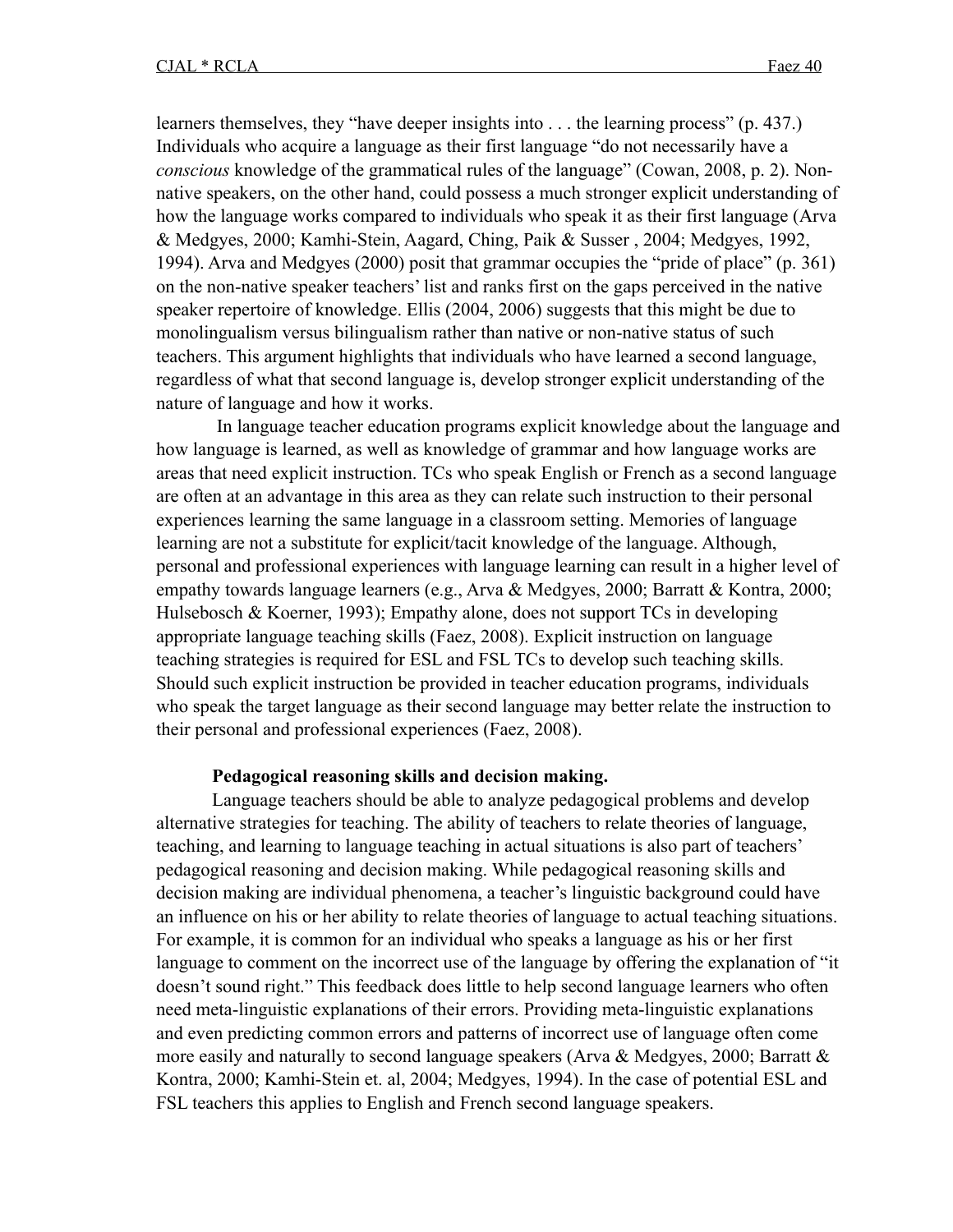learners themselves, they "have deeper insights into . . . the learning process" (p. 437.) Individuals who acquire a language as their first language "do not necessarily have a *conscious* knowledge of the grammatical rules of the language" (Cowan, 2008, p. 2). Nonnative speakers, on the other hand, could possess a much stronger explicit understanding of how the language works compared to individuals who speak it as their first language (Arva & Medgyes, 2000; Kamhi-Stein, Aagard, Ching, Paik & Susser , 2004; Medgyes, 1992, 1994). Arva and Medgyes (2000) posit that grammar occupies the "pride of place" (p. 361) on the non-native speaker teachers' list and ranks first on the gaps perceived in the native speaker repertoire of knowledge. Ellis (2004, 2006) suggests that this might be due to monolingualism versus bilingualism rather than native or non-native status of such teachers. This argument highlights that individuals who have learned a second language, regardless of what that second language is, develop stronger explicit understanding of the nature of language and how it works.

 In language teacher education programs explicit knowledge about the language and how language is learned, as well as knowledge of grammar and how language works are areas that need explicit instruction. TCs who speak English or French as a second language are often at an advantage in this area as they can relate such instruction to their personal experiences learning the same language in a classroom setting. Memories of language learning are not a substitute for explicit/tacit knowledge of the language. Although, personal and professional experiences with language learning can result in a higher level of empathy towards language learners (e.g., Arva & Medgyes, 2000; Barratt & Kontra, 2000; Hulsebosch & Koerner, 1993); Empathy alone, does not support TCs in developing appropriate language teaching skills (Faez, 2008). Explicit instruction on language teaching strategies is required for ESL and FSL TCs to develop such teaching skills. Should such explicit instruction be provided in teacher education programs, individuals who speak the target language as their second language may better relate the instruction to their personal and professional experiences (Faez, 2008).

#### **Pedagogical reasoning skills and decision making.**

Language teachers should be able to analyze pedagogical problems and develop alternative strategies for teaching. The ability of teachers to relate theories of language, teaching, and learning to language teaching in actual situations is also part of teachers' pedagogical reasoning and decision making. While pedagogical reasoning skills and decision making are individual phenomena, a teacher's linguistic background could have an influence on his or her ability to relate theories of language to actual teaching situations. For example, it is common for an individual who speaks a language as his or her first language to comment on the incorrect use of the language by offering the explanation of "it doesn't sound right." This feedback does little to help second language learners who often need meta-linguistic explanations of their errors. Providing meta-linguistic explanations and even predicting common errors and patterns of incorrect use of language often come more easily and naturally to second language speakers (Arva & Medgyes, 2000; Barratt & Kontra, 2000; Kamhi-Stein et. al, 2004; Medgyes, 1994). In the case of potential ESL and FSL teachers this applies to English and French second language speakers.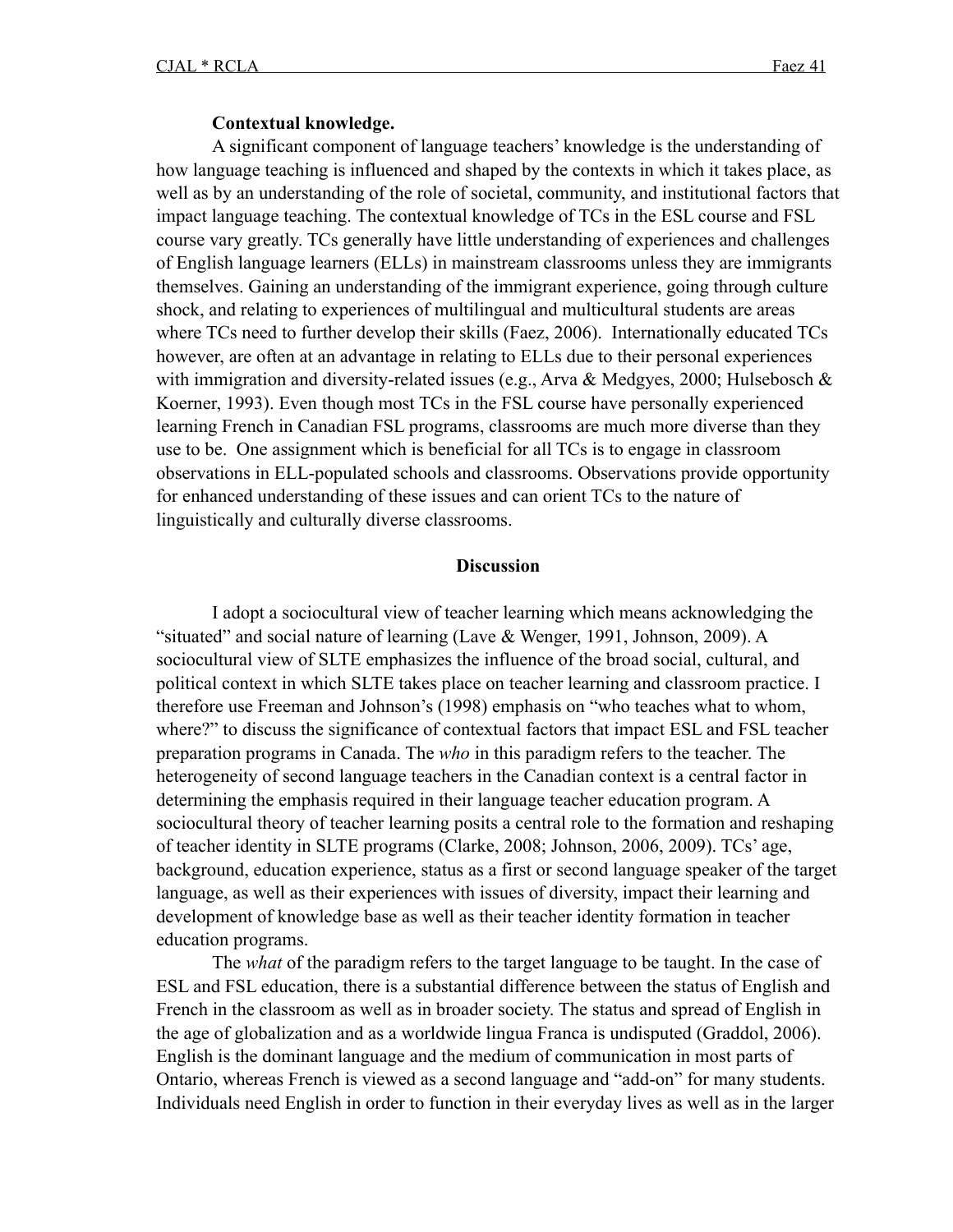#### **Contextual knowledge.**

A significant component of language teachers' knowledge is the understanding of how language teaching is influenced and shaped by the contexts in which it takes place, as well as by an understanding of the role of societal, community, and institutional factors that impact language teaching. The contextual knowledge of TCs in the ESL course and FSL course vary greatly. TCs generally have little understanding of experiences and challenges of English language learners (ELLs) in mainstream classrooms unless they are immigrants themselves. Gaining an understanding of the immigrant experience, going through culture shock, and relating to experiences of multilingual and multicultural students are areas where TCs need to further develop their skills (Faez, 2006). Internationally educated TCs however, are often at an advantage in relating to ELLs due to their personal experiences with immigration and diversity-related issues (e.g., Arva & Medgyes, 2000; Hulsebosch & Koerner, 1993). Even though most TCs in the FSL course have personally experienced learning French in Canadian FSL programs, classrooms are much more diverse than they use to be. One assignment which is beneficial for all TCs is to engage in classroom observations in ELL-populated schools and classrooms. Observations provide opportunity for enhanced understanding of these issues and can orient TCs to the nature of linguistically and culturally diverse classrooms.

#### **Discussion**

I adopt a sociocultural view of teacher learning which means acknowledging the "situated" and social nature of learning (Lave & Wenger, 1991, Johnson, 2009). A sociocultural view of SLTE emphasizes the influence of the broad social, cultural, and political context in which SLTE takes place on teacher learning and classroom practice. I therefore use Freeman and Johnson's (1998) emphasis on "who teaches what to whom, where?" to discuss the significance of contextual factors that impact ESL and FSL teacher preparation programs in Canada. The *who* in this paradigm refers to the teacher. The heterogeneity of second language teachers in the Canadian context is a central factor in determining the emphasis required in their language teacher education program. A sociocultural theory of teacher learning posits a central role to the formation and reshaping of teacher identity in SLTE programs (Clarke, 2008; Johnson, 2006, 2009). TCs' age, background, education experience, status as a first or second language speaker of the target language, as well as their experiences with issues of diversity, impact their learning and development of knowledge base as well as their teacher identity formation in teacher education programs.

The *what* of the paradigm refers to the target language to be taught. In the case of ESL and FSL education, there is a substantial difference between the status of English and French in the classroom as well as in broader society. The status and spread of English in the age of globalization and as a worldwide lingua Franca is undisputed (Graddol, 2006). English is the dominant language and the medium of communication in most parts of Ontario, whereas French is viewed as a second language and "add-on" for many students. Individuals need English in order to function in their everyday lives as well as in the larger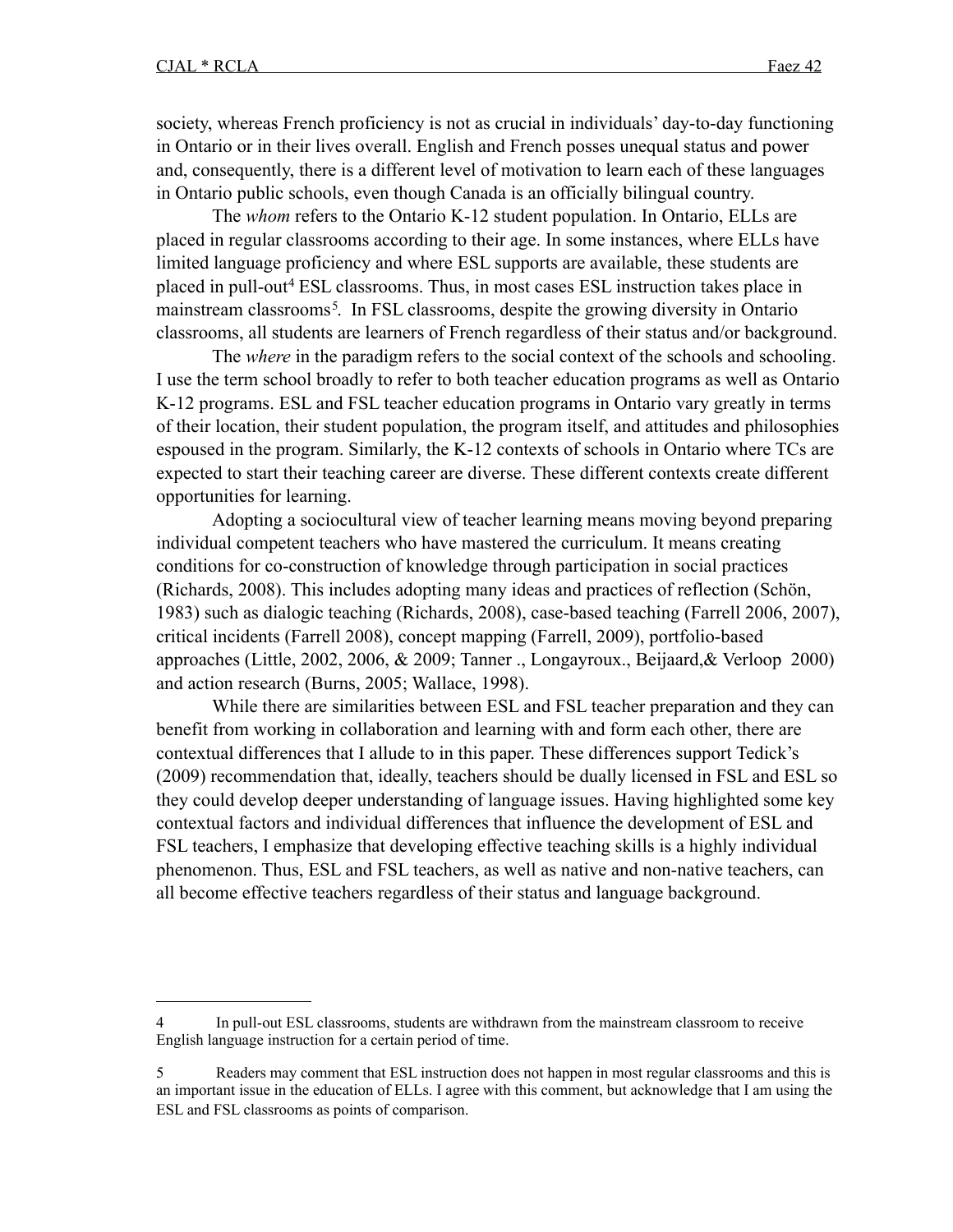society, whereas French proficiency is not as crucial in individuals' day-to-day functioning in Ontario or in their lives overall. English and French posses unequal status and power and, consequently, there is a different level of motivation to learn each of these languages in Ontario public schools, even though Canada is an officially bilingual country.

The *whom* refers to the Ontario K-12 student population. In Ontario, ELLs are placed in regular classrooms according to their age. In some instances, where ELLs have limited language proficiency and where ESL supports are available, these students are placed in pull-ou[t4](#page-14-0) ESL classrooms. Thus, in most cases ESL instruction takes place in mainstream classrooms<sup>[5](#page-14-1)</sup>. In FSL classrooms, despite the growing diversity in Ontario classrooms, all students are learners of French regardless of their status and/or background.

The *where* in the paradigm refers to the social context of the schools and schooling. I use the term school broadly to refer to both teacher education programs as well as Ontario K-12 programs. ESL and FSL teacher education programs in Ontario vary greatly in terms of their location, their student population, the program itself, and attitudes and philosophies espoused in the program. Similarly, the K-12 contexts of schools in Ontario where TCs are expected to start their teaching career are diverse. These different contexts create different opportunities for learning.

Adopting a sociocultural view of teacher learning means moving beyond preparing individual competent teachers who have mastered the curriculum. It means creating conditions for co-construction of knowledge through participation in social practices (Richards, 2008). This includes adopting many ideas and practices of reflection (Schön, 1983) such as dialogic teaching (Richards, 2008), case-based teaching (Farrell 2006, 2007), critical incidents (Farrell 2008), concept mapping (Farrell, 2009), portfolio-based approaches (Little, 2002, 2006, & 2009; Tanner ., Longayroux., Beijaard,& Verloop 2000) and action research (Burns, 2005; Wallace, 1998).

While there are similarities between ESL and FSL teacher preparation and they can benefit from working in collaboration and learning with and form each other, there are contextual differences that I allude to in this paper. These differences support Tedick's (2009) recommendation that, ideally, teachers should be dually licensed in FSL and ESL so they could develop deeper understanding of language issues. Having highlighted some key contextual factors and individual differences that influence the development of ESL and FSL teachers, I emphasize that developing effective teaching skills is a highly individual phenomenon. Thus, ESL and FSL teachers, as well as native and non-native teachers, can all become effective teachers regardless of their status and language background.

<span id="page-14-0"></span>In pull-out ESL classrooms, students are withdrawn from the mainstream classroom to receive English language instruction for a certain period of time.

<span id="page-14-1"></span><sup>5</sup> Readers may comment that ESL instruction does not happen in most regular classrooms and this is an important issue in the education of ELLs. I agree with this comment, but acknowledge that I am using the ESL and FSL classrooms as points of comparison.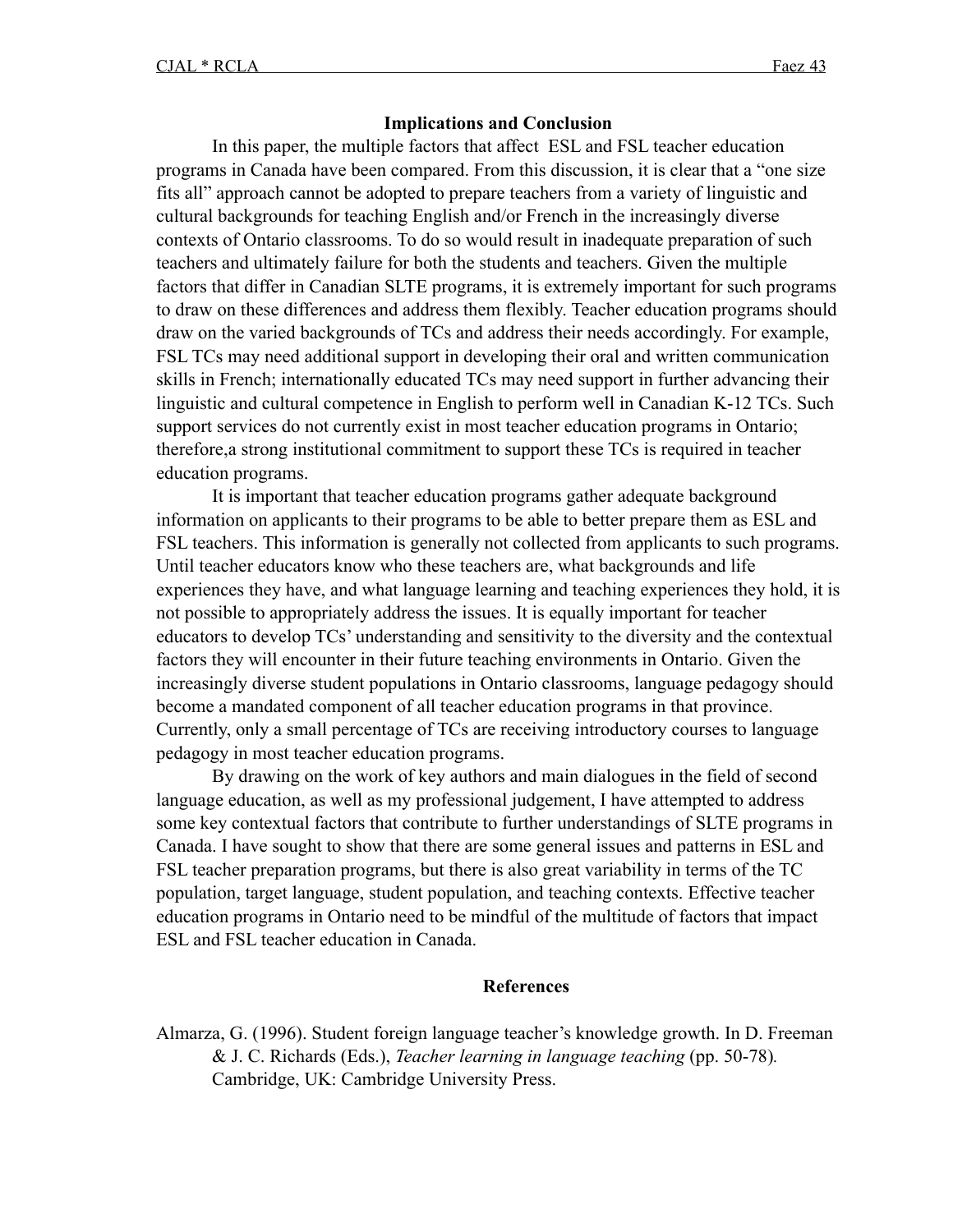#### **Implications and Conclusion**

In this paper, the multiple factors that affect ESL and FSL teacher education programs in Canada have been compared. From this discussion, it is clear that a "one size fits all" approach cannot be adopted to prepare teachers from a variety of linguistic and cultural backgrounds for teaching English and/or French in the increasingly diverse contexts of Ontario classrooms. To do so would result in inadequate preparation of such teachers and ultimately failure for both the students and teachers. Given the multiple factors that differ in Canadian SLTE programs, it is extremely important for such programs to draw on these differences and address them flexibly. Teacher education programs should draw on the varied backgrounds of TCs and address their needs accordingly. For example, FSL TCs may need additional support in developing their oral and written communication skills in French; internationally educated TCs may need support in further advancing their linguistic and cultural competence in English to perform well in Canadian K-12 TCs. Such support services do not currently exist in most teacher education programs in Ontario; therefore,a strong institutional commitment to support these TCs is required in teacher education programs.

It is important that teacher education programs gather adequate background information on applicants to their programs to be able to better prepare them as ESL and FSL teachers. This information is generally not collected from applicants to such programs. Until teacher educators know who these teachers are, what backgrounds and life experiences they have, and what language learning and teaching experiences they hold, it is not possible to appropriately address the issues. It is equally important for teacher educators to develop TCs' understanding and sensitivity to the diversity and the contextual factors they will encounter in their future teaching environments in Ontario. Given the increasingly diverse student populations in Ontario classrooms, language pedagogy should become a mandated component of all teacher education programs in that province. Currently, only a small percentage of TCs are receiving introductory courses to language pedagogy in most teacher education programs.

By drawing on the work of key authors and main dialogues in the field of second language education, as well as my professional judgement, I have attempted to address some key contextual factors that contribute to further understandings of SLTE programs in Canada. I have sought to show that there are some general issues and patterns in ESL and FSL teacher preparation programs, but there is also great variability in terms of the TC population, target language, student population, and teaching contexts. Effective teacher education programs in Ontario need to be mindful of the multitude of factors that impact ESL and FSL teacher education in Canada.

#### **References**

Almarza, G. (1996). Student foreign language teacher's knowledge growth. In D. Freeman & J. C. Richards (Eds.), *Teacher learning in language teaching* (pp. 50-78)*.* Cambridge, UK: Cambridge University Press.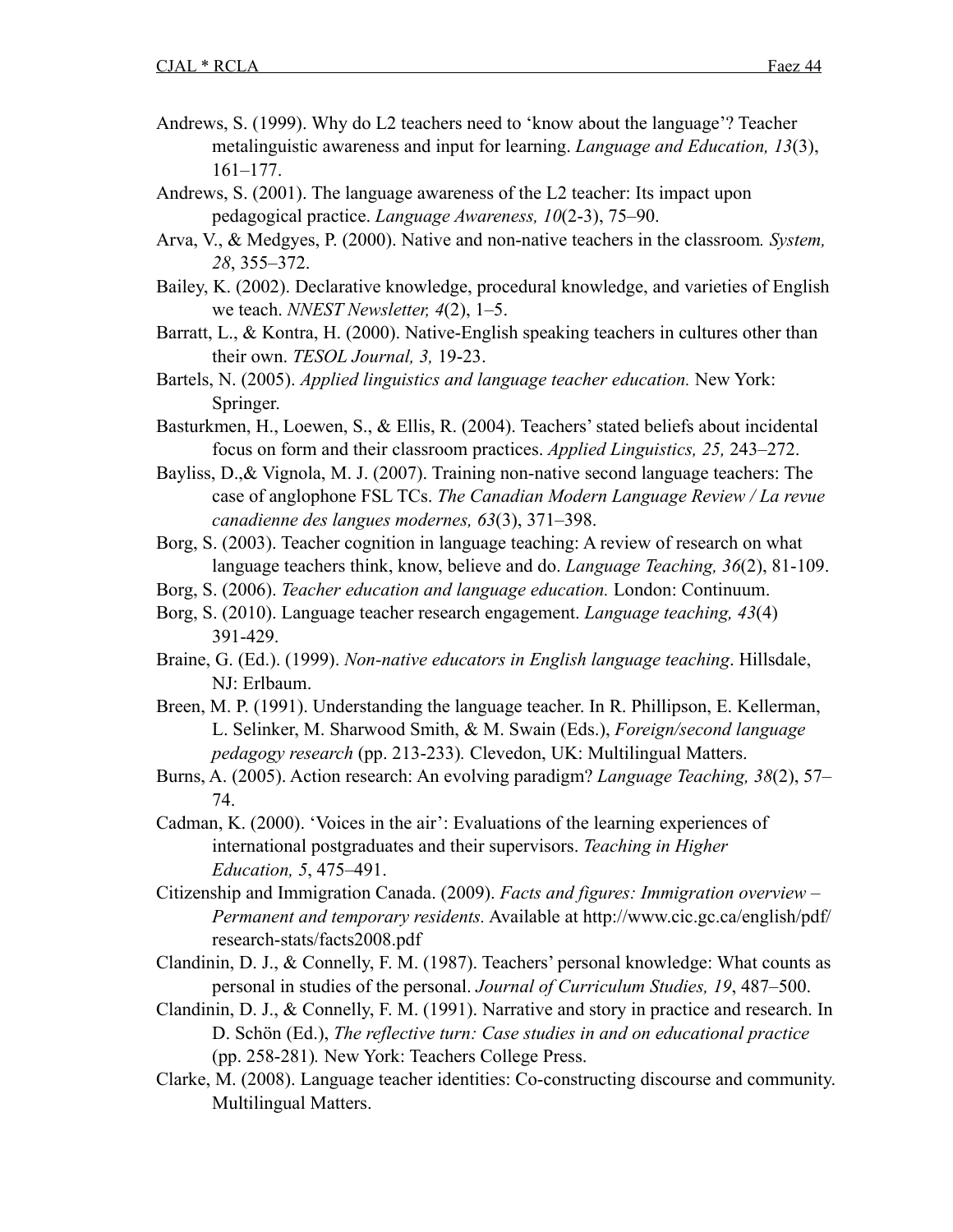- Andrews, S. (1999). Why do L2 teachers need to 'know about the language'? Teacher metalinguistic awareness and input for learning. *Language and Education, 13*(3), 161–177.
- Andrews, S. (2001). The language awareness of the L2 teacher: Its impact upon pedagogical practice. *Language Awareness, 10*(2-3), 75–90.
- Arva, V., & Medgyes, P. (2000). Native and non-native teachers in the classroom*. System, 28*, 355–372.
- Bailey, K. (2002). Declarative knowledge, procedural knowledge, and varieties of English we teach. *NNEST Newsletter, 4*(2), 1–5.
- Barratt, L., & Kontra, H. (2000). Native-English speaking teachers in cultures other than their own. *TESOL Journal, 3,* 19-23.
- Bartels, N. (2005). *Applied linguistics and language teacher education.* New York: Springer.
- Basturkmen, H., Loewen, S., & Ellis, R. (2004). Teachers' stated beliefs about incidental focus on form and their classroom practices. *Applied Linguistics, 25,* 243–272.
- Bayliss, D.,& Vignola, M. J. (2007). Training non-native second language teachers: The case of anglophone FSL TCs. *The Canadian Modern Language Review / La revue canadienne des langues modernes, 63*(3), 371–398.
- Borg, S. (2003). Teacher cognition in language teaching: A review of research on what language teachers think, know, believe and do. *Language Teaching, 36*(2), 81-109.
- Borg, S. (2006). *Teacher education and language education.* London: Continuum.
- Borg, S. (2010). Language teacher research engagement. *Language teaching, 43*(4) 391-429.
- Braine, G. (Ed.). (1999). *Non-native educators in English language teaching*. Hillsdale, NJ: Erlbaum.
- Breen, M. P. (1991). Understanding the language teacher. In R. Phillipson, E. Kellerman, L. Selinker, M. Sharwood Smith, & M. Swain (Eds.), *Foreign/second language pedagogy research* (pp. 213-233)*.* Clevedon, UK: Multilingual Matters.
- Burns, A. (2005). Action research: An evolving paradigm? *Language Teaching, 38*(2), 57– 74.
- Cadman, K. (2000). 'Voices in the air': Evaluations of the learning experiences of international postgraduates and their supervisors. *Teaching in Higher Education, 5*, 475–491.
- Citizenship and Immigration Canada. (2009). *Facts and figures: Immigration overview Permanent and temporary residents.* Available at [http://www.cic.gc.ca/english/pdf/](http://www.cic.gc.ca/english/pdf/research-stats/facts2008.pdf) [research-stats/facts2008.pdf](http://www.cic.gc.ca/english/pdf/research-stats/facts2008.pdf)
- Clandinin, D. J., & Connelly, F. M. (1987). Teachers' personal knowledge: What counts as personal in studies of the personal. *Journal of Curriculum Studies, 19*, 487–500.
- Clandinin, D. J., & Connelly, F. M. (1991). Narrative and story in practice and research. In D. Schön (Ed.), *The reflective turn: Case studies in and on educational practice* (pp. 258-281)*.* New York: Teachers College Press.
- Clarke, M. (2008). Language teacher identities: Co-constructing discourse and community. Multilingual Matters.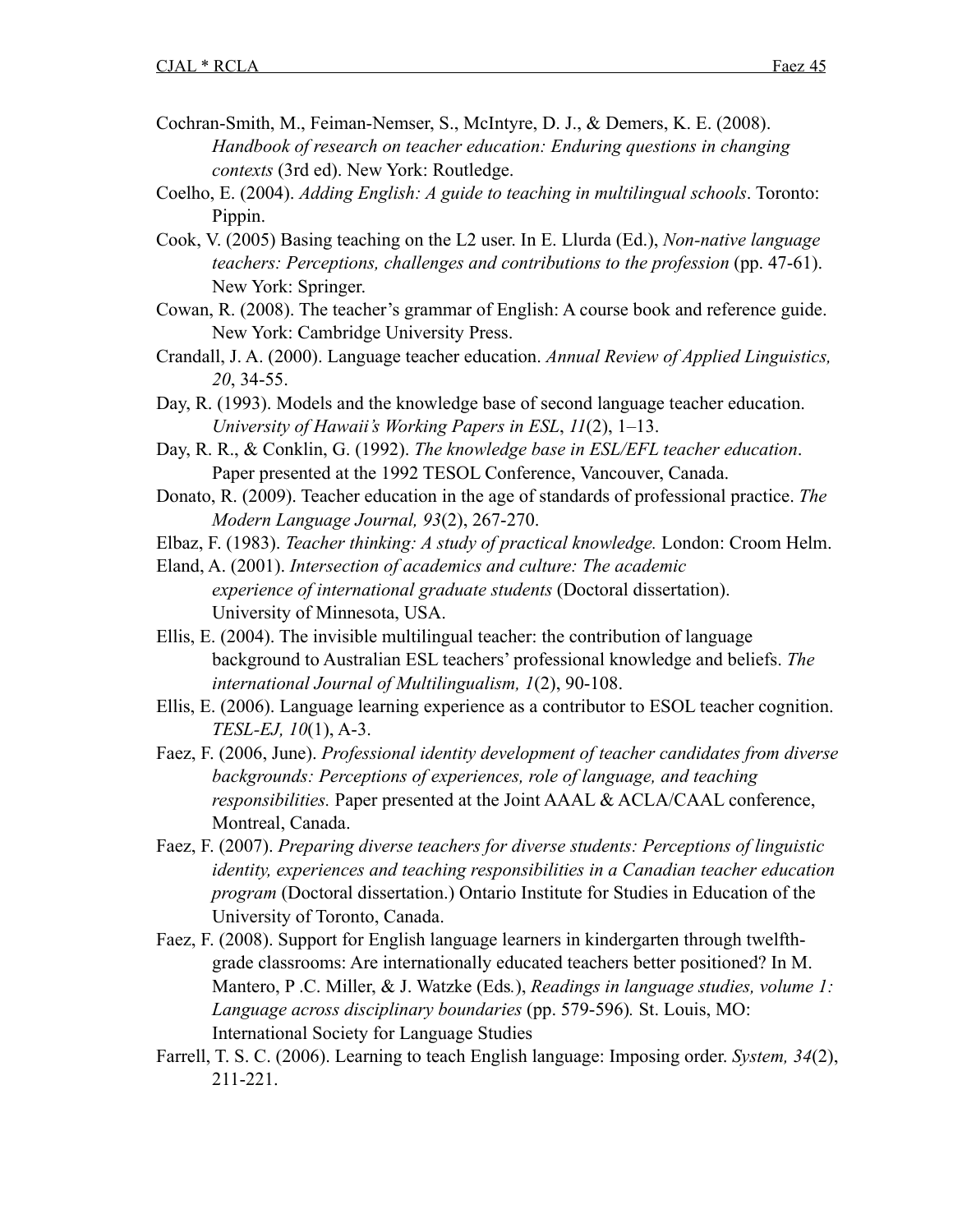- Cochran-Smith, M., Feiman-Nemser, S., McIntyre, D. J., & Demers, K. E. (2008). *Handbook of research on teacher education: Enduring questions in changing contexts* (3rd ed). New York: Routledge.
- Coelho, E. (2004). *Adding English: A guide to teaching in multilingual schools*. Toronto: Pippin.
- Cook, V. (2005) Basing teaching on the L2 user. In E. Llurda (Ed.), *Non-native language teachers: Perceptions, challenges and contributions to the profession* (pp. 47-61). New York: Springer.
- Cowan, R. (2008). The teacher's grammar of English: A course book and reference guide. New York: Cambridge University Press.
- Crandall, J. A. (2000). Language teacher education. *Annual Review of Applied Linguistics, 20*, 34-55.
- Day, R. (1993). Models and the knowledge base of second language teacher education. *University of Hawaii's Working Papers in ESL*, *11*(2), 1–13.
- Day, R. R., & Conklin, G. (1992). *The knowledge base in ESL/EFL teacher education*. Paper presented at the 1992 TESOL Conference, Vancouver, Canada.
- Donato, R. (2009). Teacher education in the age of standards of professional practice. *The Modern Language Journal, 93*(2), 267-270.
- Elbaz, F. (1983). *Teacher thinking: A study of practical knowledge.* London: Croom Helm.
- Eland, A. (2001). *Intersection of academics and culture: The academic experience of international graduate students* (Doctoral dissertation). University of Minnesota, USA.
- Ellis, E. (2004). The invisible multilingual teacher: the contribution of language background to Australian ESL teachers' professional knowledge and beliefs. *The international Journal of Multilingualism, 1*(2), 90-108.
- Ellis, E. (2006). Language learning experience as a contributor to ESOL teacher cognition. *TESL-EJ, 10*(1), A-3.
- Faez, F. (2006, June). *Professional identity development of teacher candidates from diverse backgrounds: Perceptions of experiences, role of language, and teaching responsibilities.* Paper presented at the Joint AAAL & ACLA/CAAL conference, Montreal, Canada.
- Faez, F. (2007). *Preparing diverse teachers for diverse students: Perceptions of linguistic identity, experiences and teaching responsibilities in a Canadian teacher education program* (Doctoral dissertation.) Ontario Institute for Studies in Education of the University of Toronto, Canada.
- Faez, F. (2008). Support for English language learners in kindergarten through twelfthgrade classrooms: Are internationally educated teachers better positioned? In M. Mantero, P .C. Miller, & J. Watzke (Eds*.*), *Readings in language studies, volume 1: Language across disciplinary boundaries* (pp. 579-596)*.* St. Louis, MO: International Society for Language Studies
- Farrell, T. S. C. (2006). Learning to teach English language: Imposing order. *System, 34*(2), 211-221.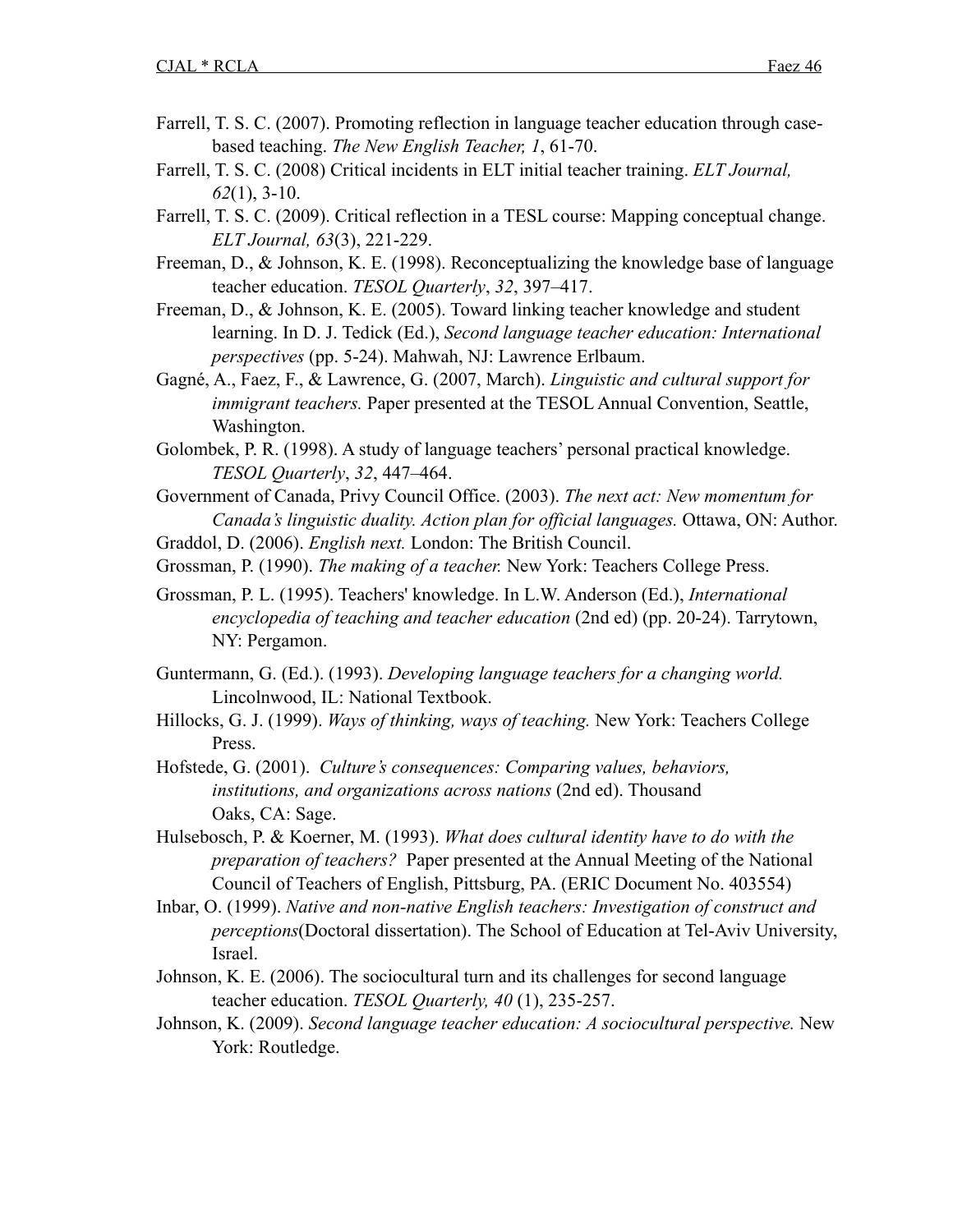- Farrell, T. S. C. (2007). Promoting reflection in language teacher education through casebased teaching. *The New English Teacher, 1*, 61-70.
- Farrell, T. S. C. (2008) Critical incidents in ELT initial teacher training. *ELT Journal, 62*(1), 3-10.
- Farrell, T. S. C. (2009). Critical reflection in a TESL course: Mapping conceptual change. *ELT Journal, 63*(3), 221-229.
- Freeman, D., & Johnson, K. E. (1998). Reconceptualizing the knowledge base of language teacher education. *TESOL Quarterly*, *32*, 397–417.
- Freeman, D., & Johnson, K. E. (2005). Toward linking teacher knowledge and student learning. In D. J. Tedick (Ed.), *Second language teacher education: International perspectives* (pp. 5-24). Mahwah, NJ: Lawrence Erlbaum.
- Gagné, A., Faez, F., & Lawrence, G. (2007, March). *Linguistic and cultural support for immigrant teachers.* Paper presented at the TESOL Annual Convention, Seattle, Washington.
- Golombek, P. R. (1998). A study of language teachers' personal practical knowledge. *TESOL Quarterly*, *32*, 447–464.
- Government of Canada, Privy Council Office. (2003). *The next act: New momentum for Canada's linguistic duality. Action plan for official languages.* Ottawa, ON: Author.
- Graddol, D. (2006). *English next.* London: The British Council.
- Grossman, P. (1990). *The making of a teacher.* New York: Teachers College Press.
- Grossman, P. L. (1995). Teachers' knowledge. In L.W. Anderson (Ed.), *International encyclopedia of teaching and teacher education* (2nd ed) (pp. 20-24). Tarrytown, NY: Pergamon.
- Guntermann, G. (Ed.). (1993). *Developing language teachers for a changing world.* Lincolnwood, IL: National Textbook.
- Hillocks, G. J. (1999). *Ways of thinking, ways of teaching.* New York: Teachers College Press.
- Hofstede, G. (2001). *Culture's consequences: Comparing values, behaviors, institutions, and organizations across nations* (2nd ed). Thousand Oaks, CA: Sage.
- Hulsebosch, P. & Koerner, M. (1993). *What does cultural identity have to do with the preparation of teachers?* Paper presented at the Annual Meeting of the National Council of Teachers of English, Pittsburg, PA. (ERIC Document No. 403554)
- Inbar, O. (1999). *Native and non-native English teachers: Investigation of construct and perceptions*(Doctoral dissertation). The School of Education at Tel-Aviv University, Israel.
- Johnson, K. E. (2006). The sociocultural turn and its challenges for second language teacher education. *TESOL Quarterly, 40* (1), 235-257.
- Johnson, K. (2009). *Second language teacher education: A sociocultural perspective.* New York: Routledge.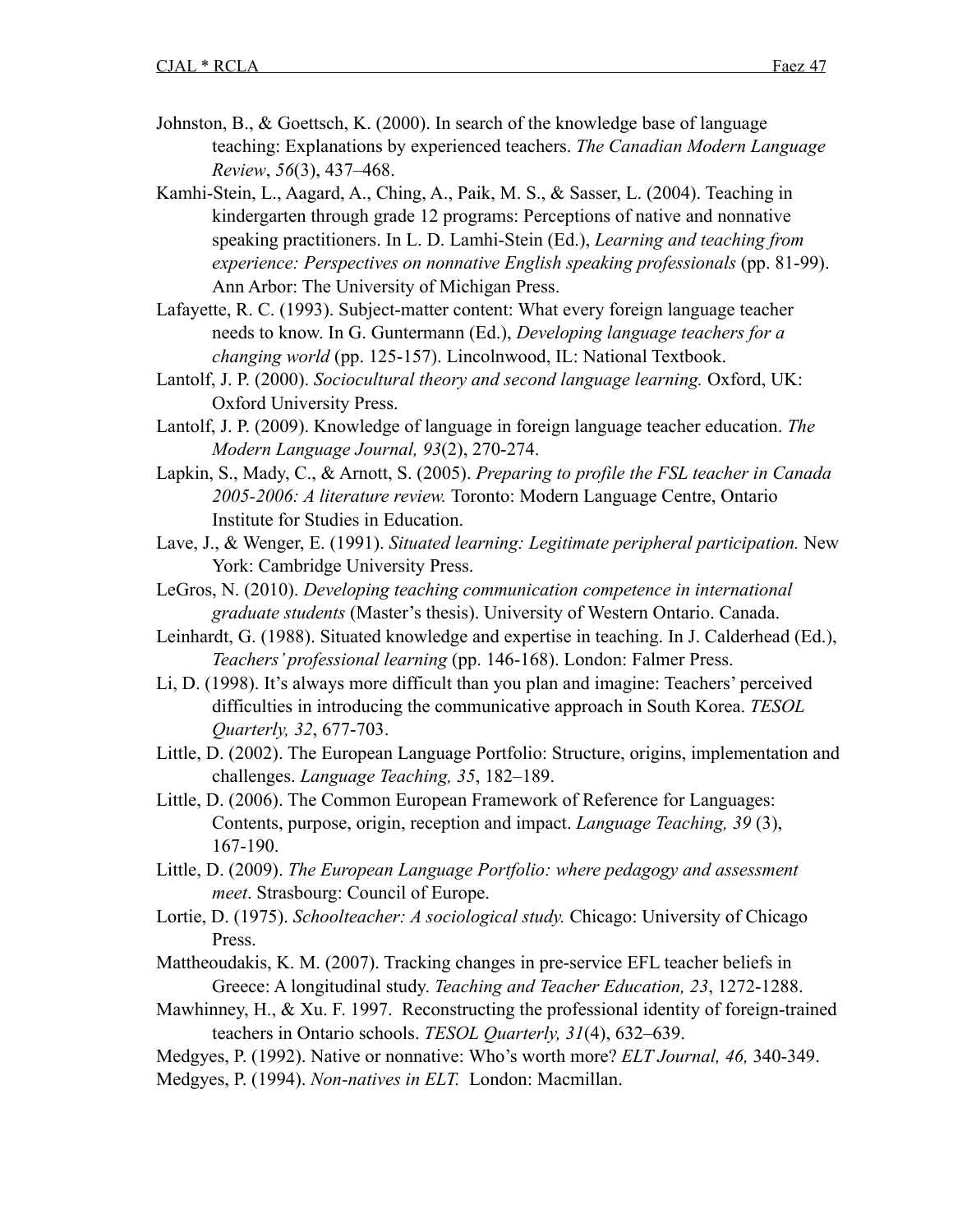- Johnston, B., & Goettsch, K. (2000). In search of the knowledge base of language teaching: Explanations by experienced teachers. *The Canadian Modern Language Review*, *56*(3), 437–468.
- Kamhi-Stein, L., Aagard, A., Ching, A., Paik, M. S., & Sasser, L. (2004). Teaching in kindergarten through grade 12 programs: Perceptions of native and nonnative speaking practitioners. In L. D. Lamhi-Stein (Ed.), *Learning and teaching from experience: Perspectives on nonnative English speaking professionals* (pp. 81-99). Ann Arbor: The University of Michigan Press.
- Lafayette, R. C. (1993). Subject-matter content: What every foreign language teacher needs to know. In G. Guntermann (Ed.), *Developing language teachers for a changing world* (pp. 125-157). Lincolnwood, IL: National Textbook.
- Lantolf, J. P. (2000). *Sociocultural theory and second language learning*. Oxford, UK: Oxford University Press.
- Lantolf, J. P. (2009). Knowledge of language in foreign language teacher education. *The Modern Language Journal, 93*(2), 270-274.
- Lapkin, S., Mady, C., & Arnott, S. (2005). *Preparing to profile the FSL teacher in Canada 2005-2006: A literature review.* Toronto: Modern Language Centre, Ontario Institute for Studies in Education.
- Lave, J., & Wenger, E. (1991). *Situated learning: Legitimate peripheral participation.* New York: Cambridge University Press.
- LeGros, N. (2010). *Developing teaching communication competence in international graduate students* (Master's thesis). University of Western Ontario. Canada.
- Leinhardt, G. (1988). Situated knowledge and expertise in teaching. In J. Calderhead (Ed.), *Teachers' professional learning* (pp. 146-168). London: Falmer Press.
- Li, D. (1998). It's always more difficult than you plan and imagine: Teachers' perceived difficulties in introducing the communicative approach in South Korea. *TESOL Quarterly, 32*, 677-703.
- Little, D. (2002). The European Language Portfolio: Structure, origins, implementation and challenges. *Language Teaching, 35*, 182–189.
- Little, D. (2006). The Common European Framework of Reference for Languages: Contents, purpose, origin, reception and impact. *Language Teaching, 39* (3), 167-190.
- Little, D. (2009). *The European Language Portfolio: where pedagogy and assessment meet*. Strasbourg: Council of Europe.
- Lortie, D. (1975). *Schoolteacher: A sociological study.* Chicago: University of Chicago Press.
- Mattheoudakis, K. M. (2007). Tracking changes in pre-service EFL teacher beliefs in Greece: A longitudinal study. *Teaching and Teacher Education, 23*, 1272-1288.
- Mawhinney, H., & Xu. F. 1997. Reconstructing the professional identity of foreign-trained teachers in Ontario schools. *TESOL Quarterly, 31*(4), 632–639.
- Medgyes, P. (1992). Native or nonnative: Who's worth more? *ELT Journal, 46,* 340-349.
- Medgyes, P. (1994). *Non-natives in ELT.* London: Macmillan.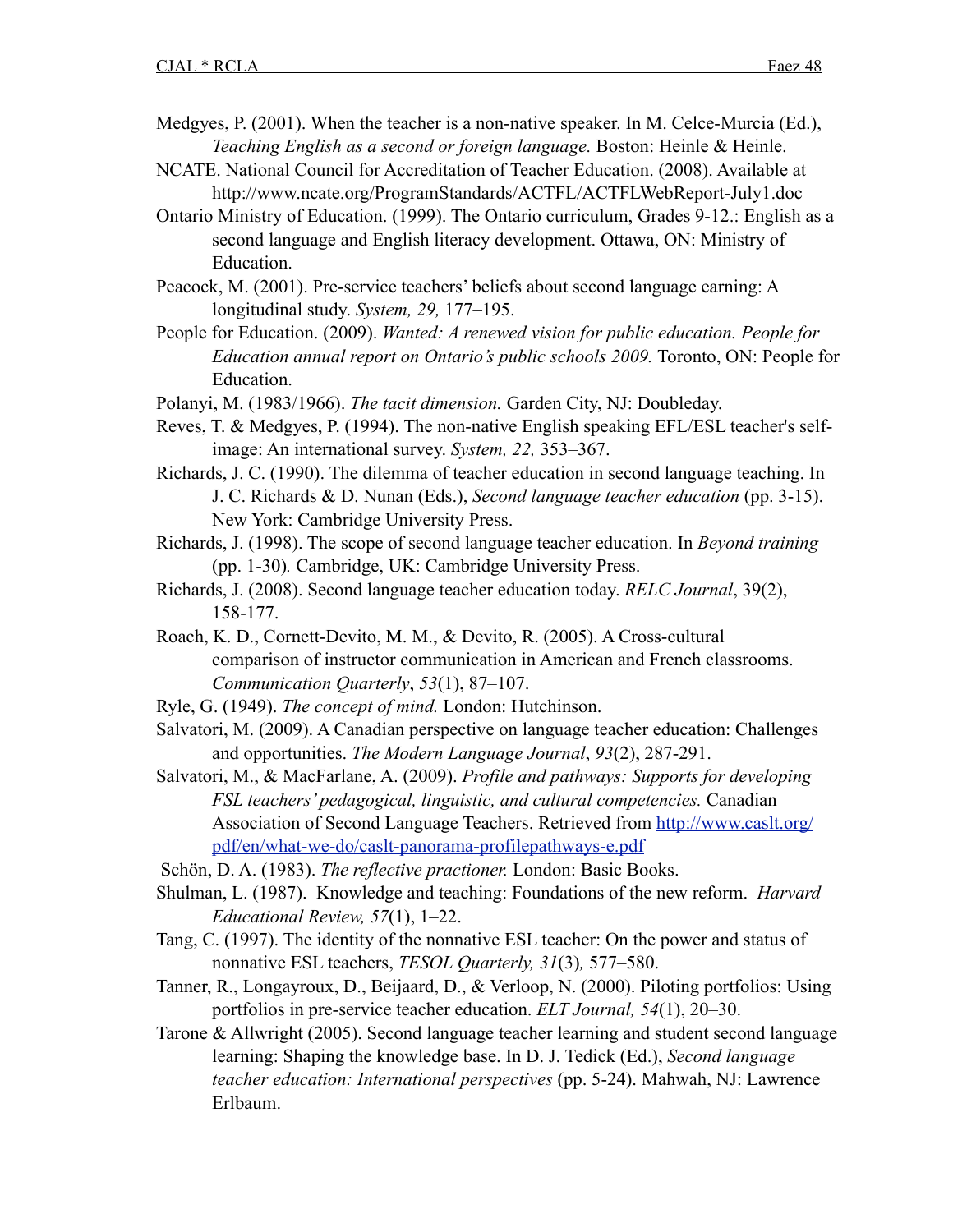- Medgyes, P. (2001). When the teacher is a non-native speaker. In M. Celce-Murcia (Ed.), *Teaching English as a second or foreign language.* Boston: Heinle & Heinle.
- NCATE. National Council for Accreditation of Teacher Education. (2008). Available at <http://www.ncate.org/ProgramStandards/ACTFL/ACTFLWebReport-July1.doc>
- Ontario Ministry of Education. (1999). The Ontario curriculum, Grades 9-12.: English as a second language and English literacy development. Ottawa, ON: Ministry of Education.
- Peacock, M. (2001). Pre-service teachers' beliefs about second language earning: A longitudinal study. *System, 29,* 177–195.
- People for Education. (2009). *Wanted: A renewed vision for public education. People for Education annual report on Ontario's public schools 2009.* Toronto, ON: People for Education.
- Polanyi, M. (1983/1966). *The tacit dimension.* Garden City, NJ: Doubleday.
- Reves, T. & Medgyes, P. (1994). The non-native English speaking EFL/ESL teacher's selfimage: An international survey. *System, 22,* 353–367.
- Richards, J. C. (1990). The dilemma of teacher education in second language teaching. In J. C. Richards & D. Nunan (Eds.), *Second language teacher education* (pp. 3-15). New York: Cambridge University Press.
- Richards, J. (1998). The scope of second language teacher education. In *Beyond training* (pp. 1-30)*.* Cambridge, UK: Cambridge University Press.
- Richards, J. (2008). Second language teacher education today. *RELC Journal*, 39(2), 158-177.
- Roach, K. D., Cornett-Devito, M. M., & Devito, R. (2005). A Cross-cultural comparison of instructor communication in American and French classrooms. *Communication Quarterly*, *53*(1), 87–107.
- Ryle, G. (1949). *The concept of mind.* London: Hutchinson.
- Salvatori, M. (2009). A Canadian perspective on language teacher education: Challenges and opportunities. *The Modern Language Journal*, *93*(2), 287-291.
- Salvatori, M., & MacFarlane, A. (2009). *Profile and pathways: Supports for developing FSL teachers' pedagogical, linguistic, and cultural competencies.* Canadian Association of Second Language Teachers. Retrieved from [http://www.caslt.org/](http://www.caslt.org/pdf/en/what-we-do/caslt-panorama-profilepathways-e.pdf) [pdf/en/what-we-do/caslt-panorama-profilepathways-e.pdf](http://www.caslt.org/pdf/en/what-we-do/caslt-panorama-profilepathways-e.pdf)
- Schön, D. A. (1983). *The reflective practioner.* London: Basic Books.
- Shulman, L. (1987). Knowledge and teaching: Foundations of the new reform. *Harvard Educational Review, 57*(1), 1–22.
- Tang, C. (1997). The identity of the nonnative ESL teacher: On the power and status of nonnative ESL teachers, *TESOL Quarterly, 31*(3)*,* 577–580.
- Tanner, R., Longayroux, D., Beijaard, D., & Verloop, N. (2000). Piloting portfolios: Using portfolios in pre-service teacher education. *ELT Journal, 54*(1), 20–30.
- Tarone & Allwright (2005). Second language teacher learning and student second language learning: Shaping the knowledge base. In D. J. Tedick (Ed.), *Second language teacher education: International perspectives* (pp. 5-24). Mahwah, NJ: Lawrence Erlbaum.